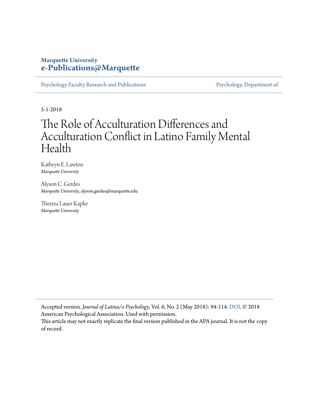# **Marquette University [e-Publications@Marquette](https://epublications.marquette.edu)**

[Psychology Faculty Research and Publications](https://epublications.marquette.edu/psych_fac) [Psychology, Department of](https://epublications.marquette.edu/psychology)

5-1-2018

# The Role of Acculturation Differences and Acculturation Conflict in Latino Family Mental Health

Kathryn E. Lawton *Marquette University*

Alyson C. Gerdes *Marquette University*, alyson.gerdes@marquette.edu

Theresa Lauer Kapke *Marquette University*

Accepted version*. Journal of Latina/o Psychology*, Vol. 6, No. 2 (May 2018): 94-114. [DOI](http://dx.doi.org/10.1037/lat0000084). © 2018 American Psychological Association. Used with permission.

This article may not exactly replicate the final version published in the APA journal. It is not the copy of record.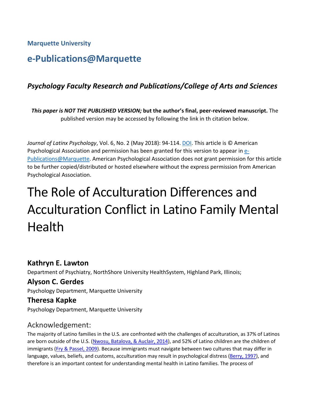**Marquette University**

# **e-Publications@Marquette**

# *Psychology Faculty Research and Publications/College of Arts and Sciences*

*This paper is NOT THE PUBLISHED VERSION;* **but the author's final, peer-reviewed manuscript.** The published version may be accessed by following the link in th citation below.

*Journal of Latinx Psychology*, Vol. 6, No. 2 (May 2018): 94-114. [DOI.](https://doi.org/10.1037/lat0000084) This article is © American Psychological Association and permission has been granted for this version to appear i[n e-](http://epublications.marquette.edu/)[Publications@Marquette.](http://epublications.marquette.edu/) American Psychological Association does not grant permission for this article to be further copied/distributed or hosted elsewhere without the express permission from American Psychological Association.

# The Role of Acculturation Differences and Acculturation Conflict in Latino Family Mental Health

# **Kathryn E. Lawton**

Department of Psychiatry, NorthShore University HealthSystem, Highland Park, Illinois;

# **Alyson C. Gerdes**

Psychology Department, Marquette University

#### **Theresa Kapke**

Psychology Department, Marquette University

# Acknowledgement:

The majority of Latino families in the U.S. are confronted with the challenges of acculturation, as 37% of Latinos are born outside of the U.S. [\(Nwosu, Batalova, & Auclair, 2014\)](https://0-web-b-ebscohost-com.libus.csd.mu.edu/ehost/detail/detail?vid=2&sid=7e1faa1d-4cf9-4551-a23d-ec6b0f1ec874%40pdc-v-sessmgr04&bdata=JnNpdGU9ZWhvc3QtbGl2ZQ%3d%3d#c57), and 52% of Latino children are the children of immigrants [\(Fry & Passel, 2009\)](https://0-web-b-ebscohost-com.libus.csd.mu.edu/ehost/detail/detail?vid=2&sid=7e1faa1d-4cf9-4551-a23d-ec6b0f1ec874%40pdc-v-sessmgr04&bdata=JnNpdGU9ZWhvc3QtbGl2ZQ%3d%3d#c28). Because immigrants must navigate between two cultures that may differ in language, values, beliefs, and customs, acculturation may result in psychological distress [\(Berry, 1997\)](https://0-web-b-ebscohost-com.libus.csd.mu.edu/ehost/detail/detail?vid=2&sid=7e1faa1d-4cf9-4551-a23d-ec6b0f1ec874%40pdc-v-sessmgr04&bdata=JnNpdGU9ZWhvc3QtbGl2ZQ%3d%3d#c10), and therefore is an important context for understanding mental health in Latino families. The process of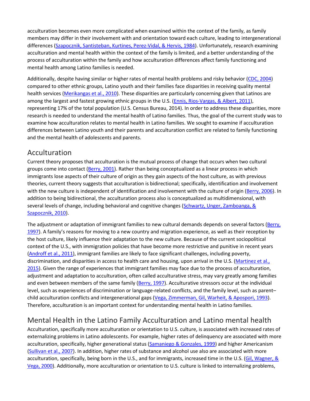acculturation becomes even more complicated when examined within the context of the family, as family members may differ in their involvement with and orientation toward each culture, leading to intergenerational differences [\(Szapocznik, Santisteban, Kurtines, Perez-Vidal, & Hervis, 1984\)](https://0-web-b-ebscohost-com.libus.csd.mu.edu/ehost/detail/detail?vid=2&sid=7e1faa1d-4cf9-4551-a23d-ec6b0f1ec874%40pdc-v-sessmgr04&bdata=JnNpdGU9ZWhvc3QtbGl2ZQ%3d%3d#c79). Unfortunately, research examining acculturation and mental health within the context of the family is limited, and a better understanding of the process of acculturation within the family and how acculturation differences affect family functioning and mental health among Latino families is needed.

Additionally, despite having similar or higher rates of mental health problems and risky behavior [\(CDC, 2004\)](https://0-web-b-ebscohost-com.libus.csd.mu.edu/ehost/detail/detail?vid=2&sid=7e1faa1d-4cf9-4551-a23d-ec6b0f1ec874%40pdc-v-sessmgr04&bdata=JnNpdGU9ZWhvc3QtbGl2ZQ%3d%3d#c17) compared to other ethnic groups, Latino youth and their families face disparities in receiving quality mental health services [\(Merikangas et al., 2010\)](https://0-web-b-ebscohost-com.libus.csd.mu.edu/ehost/detail/detail?vid=2&sid=7e1faa1d-4cf9-4551-a23d-ec6b0f1ec874%40pdc-v-sessmgr04&bdata=JnNpdGU9ZWhvc3QtbGl2ZQ%3d%3d#c53). These disparities are particularly concerning given that Latinos are among the largest and fastest growing ethnic groups in the U.S. [\(Ennis, Rios-Vargas, & Albert, 2011\)](https://0-web-b-ebscohost-com.libus.csd.mu.edu/ehost/detail/detail?vid=2&sid=7e1faa1d-4cf9-4551-a23d-ec6b0f1ec874%40pdc-v-sessmgr04&bdata=JnNpdGU9ZWhvc3QtbGl2ZQ%3d%3d#c27), representing 17% of the total population (U.S. Census Bureau, 2014). In order to address these disparities, more research is needed to understand the mental health of Latino families. Thus, the goal of the current study was to examine how acculturation relates to mental health in Latino families. We sought to examine if acculturation differences between Latino youth and their parents and acculturation conflict are related to family functioning and the mental health of adolescents and parents.

# Acculturation

Current theory proposes that acculturation is the mutual process of change that occurs when two cultural groups come into contact [\(Berry, 2001\)](https://0-web-b-ebscohost-com.libus.csd.mu.edu/ehost/detail/detail?vid=2&sid=7e1faa1d-4cf9-4551-a23d-ec6b0f1ec874%40pdc-v-sessmgr04&bdata=JnNpdGU9ZWhvc3QtbGl2ZQ%3d%3d#c11). Rather than being conceptualized as a linear process in which immigrants lose aspects of their culture of origin as they gain aspects of the host culture, as with previous theories, current theory suggests that acculturation is bidirectional; specifically, identification and involvement with the new culture is independent of identification and involvement with the culture of origin [\(Berry, 2006\)](https://0-web-b-ebscohost-com.libus.csd.mu.edu/ehost/detail/detail?vid=2&sid=7e1faa1d-4cf9-4551-a23d-ec6b0f1ec874%40pdc-v-sessmgr04&bdata=JnNpdGU9ZWhvc3QtbGl2ZQ%3d%3d#c12). In addition to being bidirectional, the acculturation process also is conceptualized as multidimensional, with several levels of change, including behavioral and cognitive changes [\(Schwartz, Unger, Zamboanga, &](https://0-web-b-ebscohost-com.libus.csd.mu.edu/ehost/detail/detail?vid=2&sid=7e1faa1d-4cf9-4551-a23d-ec6b0f1ec874%40pdc-v-sessmgr04&bdata=JnNpdGU9ZWhvc3QtbGl2ZQ%3d%3d#c68) [Szapocznik, 2010\)](https://0-web-b-ebscohost-com.libus.csd.mu.edu/ehost/detail/detail?vid=2&sid=7e1faa1d-4cf9-4551-a23d-ec6b0f1ec874%40pdc-v-sessmgr04&bdata=JnNpdGU9ZWhvc3QtbGl2ZQ%3d%3d#c68).

The adjustment or adaptation of immigrant families to new cultural demands depends on several factors [\(Berry,](https://0-web-b-ebscohost-com.libus.csd.mu.edu/ehost/detail/detail?vid=2&sid=7e1faa1d-4cf9-4551-a23d-ec6b0f1ec874%40pdc-v-sessmgr04&bdata=JnNpdGU9ZWhvc3QtbGl2ZQ%3d%3d#c10)  [1997\)](https://0-web-b-ebscohost-com.libus.csd.mu.edu/ehost/detail/detail?vid=2&sid=7e1faa1d-4cf9-4551-a23d-ec6b0f1ec874%40pdc-v-sessmgr04&bdata=JnNpdGU9ZWhvc3QtbGl2ZQ%3d%3d#c10). A family's reasons for moving to a new country and migration experience, as well as their reception by the host culture, likely influence their adaptation to the new culture. Because of the current sociopolitical context of the U.S., with immigration policies that have become more restrictive and punitive in recent years [\(Androff et al., 2011\)](https://0-web-b-ebscohost-com.libus.csd.mu.edu/ehost/detail/detail?vid=2&sid=7e1faa1d-4cf9-4551-a23d-ec6b0f1ec874%40pdc-v-sessmgr04&bdata=JnNpdGU9ZWhvc3QtbGl2ZQ%3d%3d#c3), immigrant families are likely to face significant challenges, including poverty, discrimination, and disparities in access to health care and housing, upon arrival in the U.S. [\(Martinez et al.,](https://0-web-b-ebscohost-com.libus.csd.mu.edu/ehost/detail/detail?vid=2&sid=7e1faa1d-4cf9-4551-a23d-ec6b0f1ec874%40pdc-v-sessmgr04&bdata=JnNpdGU9ZWhvc3QtbGl2ZQ%3d%3d#c51)  [2015\)](https://0-web-b-ebscohost-com.libus.csd.mu.edu/ehost/detail/detail?vid=2&sid=7e1faa1d-4cf9-4551-a23d-ec6b0f1ec874%40pdc-v-sessmgr04&bdata=JnNpdGU9ZWhvc3QtbGl2ZQ%3d%3d#c51). Given the range of experiences that immigrant families may face due to the process of acculturation, adjustment and adaptation to acculturation, often called acculturative stress, may vary greatly among families and even between members of the same family [\(Berry, 1997\)](https://0-web-b-ebscohost-com.libus.csd.mu.edu/ehost/detail/detail?vid=2&sid=7e1faa1d-4cf9-4551-a23d-ec6b0f1ec874%40pdc-v-sessmgr04&bdata=JnNpdGU9ZWhvc3QtbGl2ZQ%3d%3d#c10). Acculturative stressors occur at the individual level, such as experiences of discrimination or language-related conflicts, and the family level, such as parent– child acculturation conflicts and intergenerational gaps [\(Vega, Zimmerman, Gil, Warheit, & Apospori, 1993\)](https://0-web-b-ebscohost-com.libus.csd.mu.edu/ehost/detail/detail?vid=2&sid=7e1faa1d-4cf9-4551-a23d-ec6b0f1ec874%40pdc-v-sessmgr04&bdata=JnNpdGU9ZWhvc3QtbGl2ZQ%3d%3d#c83). Therefore, acculturation is an important context for understanding mental health in Latino families.

# Mental Health in the Latino Family Acculturation and Latino mental health

Acculturation, specifically more acculturation or orientation to U.S. culture, is associated with increased rates of externalizing problems in Latino adolescents. For example, higher rates of delinquency are associated with more acculturation, specifically, higher generational status [\(Samaniego & Gonzales, 1999\)](https://0-web-b-ebscohost-com.libus.csd.mu.edu/ehost/detail/detail?vid=2&sid=7e1faa1d-4cf9-4551-a23d-ec6b0f1ec874%40pdc-v-sessmgr04&bdata=JnNpdGU9ZWhvc3QtbGl2ZQ%3d%3d#c66) and higher Americanism [\(Sullivan et al., 2007\)](https://0-web-b-ebscohost-com.libus.csd.mu.edu/ehost/detail/detail?vid=2&sid=7e1faa1d-4cf9-4551-a23d-ec6b0f1ec874%40pdc-v-sessmgr04&bdata=JnNpdGU9ZWhvc3QtbGl2ZQ%3d%3d#c78). In addition, higher rates of substance and alcohol use also are associated with more acculturation, specifically, being born in the U.S., and for immigrants, increased time in the U.S. (Gil, Wagner, & [Vega, 2000\)](https://0-web-b-ebscohost-com.libus.csd.mu.edu/ehost/detail/detail?vid=2&sid=7e1faa1d-4cf9-4551-a23d-ec6b0f1ec874%40pdc-v-sessmgr04&bdata=JnNpdGU9ZWhvc3QtbGl2ZQ%3d%3d#c30). Additionally, more acculturation or orientation to U.S. culture is linked to internalizing problems,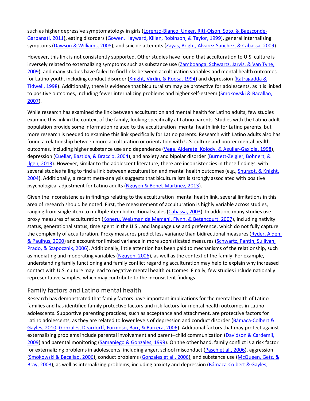such as higher depressive symptomatology in girls [\(Lorenzo-Blanco, Unger, Ritt-Olson, Soto, & Baezconde-](https://0-web-b-ebscohost-com.libus.csd.mu.edu/ehost/detail/detail?vid=2&sid=7e1faa1d-4cf9-4551-a23d-ec6b0f1ec874%40pdc-v-sessmgr04&bdata=JnNpdGU9ZWhvc3QtbGl2ZQ%3d%3d#c46)[Garbanati, 2011\)](https://0-web-b-ebscohost-com.libus.csd.mu.edu/ehost/detail/detail?vid=2&sid=7e1faa1d-4cf9-4551-a23d-ec6b0f1ec874%40pdc-v-sessmgr04&bdata=JnNpdGU9ZWhvc3QtbGl2ZQ%3d%3d#c46), eating disorders [\(Gowen, Hayward, Killen, Robinson, &](https://0-web-b-ebscohost-com.libus.csd.mu.edu/ehost/detail/detail?vid=2&sid=7e1faa1d-4cf9-4551-a23d-ec6b0f1ec874%40pdc-v-sessmgr04&bdata=JnNpdGU9ZWhvc3QtbGl2ZQ%3d%3d#c33) Taylor, 1999), general internalizing symptoms [\(Dawson & Williams, 2008\)](https://0-web-b-ebscohost-com.libus.csd.mu.edu/ehost/detail/detail?vid=2&sid=7e1faa1d-4cf9-4551-a23d-ec6b0f1ec874%40pdc-v-sessmgr04&bdata=JnNpdGU9ZWhvc3QtbGl2ZQ%3d%3d#c25), and suicide attempts [\(Zayas, Bright, Alvarez-Sanchez, & Cabassa, 2009\)](https://0-web-b-ebscohost-com.libus.csd.mu.edu/ehost/detail/detail?vid=2&sid=7e1faa1d-4cf9-4551-a23d-ec6b0f1ec874%40pdc-v-sessmgr04&bdata=JnNpdGU9ZWhvc3QtbGl2ZQ%3d%3d#c86).

However, this link is not consistently supported. Other studies have found that acculturation to U.S. culture is inversely related to externalizing symptoms such as substance use (Zamboanga, Schwartz, Jarvis, & Van Tyne, [2009\)](https://0-web-b-ebscohost-com.libus.csd.mu.edu/ehost/detail/detail?vid=2&sid=7e1faa1d-4cf9-4551-a23d-ec6b0f1ec874%40pdc-v-sessmgr04&bdata=JnNpdGU9ZWhvc3QtbGl2ZQ%3d%3d#c85), and many studies have failed to find links between acculturation variables and mental health outcomes for Latino youth, including conduct disorder [\(Knight, Virdin, & Roosa, 1994\)](https://0-web-b-ebscohost-com.libus.csd.mu.edu/ehost/detail/detail?vid=2&sid=7e1faa1d-4cf9-4551-a23d-ec6b0f1ec874%40pdc-v-sessmgr04&bdata=JnNpdGU9ZWhvc3QtbGl2ZQ%3d%3d#c41) and depression [\(Katragadda &](https://0-web-b-ebscohost-com.libus.csd.mu.edu/ehost/detail/detail?vid=2&sid=7e1faa1d-4cf9-4551-a23d-ec6b0f1ec874%40pdc-v-sessmgr04&bdata=JnNpdGU9ZWhvc3QtbGl2ZQ%3d%3d#c39)  [Tidwell, 1998\)](https://0-web-b-ebscohost-com.libus.csd.mu.edu/ehost/detail/detail?vid=2&sid=7e1faa1d-4cf9-4551-a23d-ec6b0f1ec874%40pdc-v-sessmgr04&bdata=JnNpdGU9ZWhvc3QtbGl2ZQ%3d%3d#c39). Additionally, there is evidence that biculturalism may be protective for adolescents, as it is linked to positive outcomes, including fewer internalizing problems and higher self-esteem [\(Smokowski & Bacallao,](https://0-web-b-ebscohost-com.libus.csd.mu.edu/ehost/detail/detail?vid=2&sid=7e1faa1d-4cf9-4551-a23d-ec6b0f1ec874%40pdc-v-sessmgr04&bdata=JnNpdGU9ZWhvc3QtbGl2ZQ%3d%3d#c72)  [2007\)](https://0-web-b-ebscohost-com.libus.csd.mu.edu/ehost/detail/detail?vid=2&sid=7e1faa1d-4cf9-4551-a23d-ec6b0f1ec874%40pdc-v-sessmgr04&bdata=JnNpdGU9ZWhvc3QtbGl2ZQ%3d%3d#c72).

While research has examined the link between acculturation and mental health for Latino adults, few studies examine this link in the context of the family, looking specifically at Latino parents. Studies with the Latino adult population provide some information related to the acculturation–mental health link for Latino parents, but more research is needed to examine this link specifically for Latino parents. Research with Latino adults also has found a relationship between more acculturation or orientation with U.S. culture and poorer mental health outcomes, including higher substance use and dependence [\(Vega, Alderete, Kolody, & Aguilar-Gaxiola, 1998\)](https://0-web-b-ebscohost-com.libus.csd.mu.edu/ehost/detail/detail?vid=2&sid=7e1faa1d-4cf9-4551-a23d-ec6b0f1ec874%40pdc-v-sessmgr04&bdata=JnNpdGU9ZWhvc3QtbGl2ZQ%3d%3d#c81), depression [\(Cuellar, Bastida, & Braccio, 2004\)](https://0-web-b-ebscohost-com.libus.csd.mu.edu/ehost/detail/detail?vid=2&sid=7e1faa1d-4cf9-4551-a23d-ec6b0f1ec874%40pdc-v-sessmgr04&bdata=JnNpdGU9ZWhvc3QtbGl2ZQ%3d%3d#c23), and anxiety and bipolar disorder [\(Burnett-Zeigler, Bohnert, &](https://0-web-b-ebscohost-com.libus.csd.mu.edu/ehost/detail/detail?vid=2&sid=7e1faa1d-4cf9-4551-a23d-ec6b0f1ec874%40pdc-v-sessmgr04&bdata=JnNpdGU9ZWhvc3QtbGl2ZQ%3d%3d#c13)  [Ilgen, 2013\)](https://0-web-b-ebscohost-com.libus.csd.mu.edu/ehost/detail/detail?vid=2&sid=7e1faa1d-4cf9-4551-a23d-ec6b0f1ec874%40pdc-v-sessmgr04&bdata=JnNpdGU9ZWhvc3QtbGl2ZQ%3d%3d#c13). However, similar to the adolescent literature, there are inconsistencies in these findings, with several studies failing to find a link between acculturation and mental health outcomes (e.g., [Shurgot, & Knight,](https://0-web-b-ebscohost-com.libus.csd.mu.edu/ehost/detail/detail?vid=2&sid=7e1faa1d-4cf9-4551-a23d-ec6b0f1ec874%40pdc-v-sessmgr04&bdata=JnNpdGU9ZWhvc3QtbGl2ZQ%3d%3d#c69)  [2004\)](https://0-web-b-ebscohost-com.libus.csd.mu.edu/ehost/detail/detail?vid=2&sid=7e1faa1d-4cf9-4551-a23d-ec6b0f1ec874%40pdc-v-sessmgr04&bdata=JnNpdGU9ZWhvc3QtbGl2ZQ%3d%3d#c69). Additionally, a recent meta-analysis suggests that biculturalism is strongly associated with positive psychological adjustment for Latino adults [\(Nguyen & Benet-Martinez, 2013\)](https://0-web-b-ebscohost-com.libus.csd.mu.edu/ehost/detail/detail?vid=2&sid=7e1faa1d-4cf9-4551-a23d-ec6b0f1ec874%40pdc-v-sessmgr04&bdata=JnNpdGU9ZWhvc3QtbGl2ZQ%3d%3d#c55).

Given the inconsistencies in findings relating to the acculturation–mental health link, several limitations in this area of research should be noted. First, the measurement of acculturation is highly variable across studies, ranging from single-item to multiple-item bidirectional scales [\(Cabassa, 2003\)](https://0-web-b-ebscohost-com.libus.csd.mu.edu/ehost/detail/detail?vid=2&sid=7e1faa1d-4cf9-4551-a23d-ec6b0f1ec874%40pdc-v-sessmgr04&bdata=JnNpdGU9ZWhvc3QtbGl2ZQ%3d%3d#c14). In addition, many studies use proxy measures of acculturation [\(Koneru, Weisman de Mamani, Flynn, & Betancourt, 2007\)](https://0-web-b-ebscohost-com.libus.csd.mu.edu/ehost/detail/detail?vid=2&sid=7e1faa1d-4cf9-4551-a23d-ec6b0f1ec874%40pdc-v-sessmgr04&bdata=JnNpdGU9ZWhvc3QtbGl2ZQ%3d%3d#c42), including nativity status, generational status, time spent in the U.S., and language use and preference, which do not fully capture the complexity of acculturation. Proxy measures predict less variance than bidirectional measures (Ryder, Alden, [& Paulhus, 2000\)](https://0-web-b-ebscohost-com.libus.csd.mu.edu/ehost/detail/detail?vid=2&sid=7e1faa1d-4cf9-4551-a23d-ec6b0f1ec874%40pdc-v-sessmgr04&bdata=JnNpdGU9ZWhvc3QtbGl2ZQ%3d%3d#c65) and account for limited variance in more sophisticated measures [\(Schwartz, Pantin, Sullivan,](https://0-web-b-ebscohost-com.libus.csd.mu.edu/ehost/detail/detail?vid=2&sid=7e1faa1d-4cf9-4551-a23d-ec6b0f1ec874%40pdc-v-sessmgr04&bdata=JnNpdGU9ZWhvc3QtbGl2ZQ%3d%3d#c67)  [Prado, & Szapocznik, 2006\)](https://0-web-b-ebscohost-com.libus.csd.mu.edu/ehost/detail/detail?vid=2&sid=7e1faa1d-4cf9-4551-a23d-ec6b0f1ec874%40pdc-v-sessmgr04&bdata=JnNpdGU9ZWhvc3QtbGl2ZQ%3d%3d#c67). Additionally, little attention has been paid to mechanisms of the relationship, such as mediating and moderating variables [\(Nguyen, 2006\)](https://0-web-b-ebscohost-com.libus.csd.mu.edu/ehost/detail/detail?vid=2&sid=7e1faa1d-4cf9-4551-a23d-ec6b0f1ec874%40pdc-v-sessmgr04&bdata=JnNpdGU9ZWhvc3QtbGl2ZQ%3d%3d#c56), as well as the context of the family. For example, understanding family functioning and family conflict regarding acculturation may help to explain why increased contact with U.S. culture may lead to negative mental health outcomes. Finally, few studies include nationally representative samples, which may contribute to the inconsistent findings.

#### Family factors and Latino mental health

Research has demonstrated that family factors have important implications for the mental health of Latino families and has identified family protective factors and risk factors for mental health outcomes in Latino adolescents. Supportive parenting practices, such as acceptance and attachment, are protective factors for Latino adolescents, as they are related to lower levels of depression and conduct disorder (Bámaca-Colbert & [Gayles, 2010;](https://0-web-b-ebscohost-com.libus.csd.mu.edu/ehost/detail/detail?vid=2&sid=7e1faa1d-4cf9-4551-a23d-ec6b0f1ec874%40pdc-v-sessmgr04&bdata=JnNpdGU9ZWhvc3QtbGl2ZQ%3d%3d#c5) [Gonzales, Deardorff, Formoso, Barr, & Barrera, 2006\)](https://0-web-b-ebscohost-com.libus.csd.mu.edu/ehost/detail/detail?vid=2&sid=7e1faa1d-4cf9-4551-a23d-ec6b0f1ec874%40pdc-v-sessmgr04&bdata=JnNpdGU9ZWhvc3QtbGl2ZQ%3d%3d#c31). Additional factors that may protect against externalizing problems include parental involvement and parent–child communication [\(Davidson & Cardemil,](https://0-web-b-ebscohost-com.libus.csd.mu.edu/ehost/detail/detail?vid=2&sid=7e1faa1d-4cf9-4551-a23d-ec6b0f1ec874%40pdc-v-sessmgr04&bdata=JnNpdGU9ZWhvc3QtbGl2ZQ%3d%3d#c24)  [2009\)](https://0-web-b-ebscohost-com.libus.csd.mu.edu/ehost/detail/detail?vid=2&sid=7e1faa1d-4cf9-4551-a23d-ec6b0f1ec874%40pdc-v-sessmgr04&bdata=JnNpdGU9ZWhvc3QtbGl2ZQ%3d%3d#c24) and parental monitoring [\(Samaniego & Gonzales, 1999\)](https://0-web-b-ebscohost-com.libus.csd.mu.edu/ehost/detail/detail?vid=2&sid=7e1faa1d-4cf9-4551-a23d-ec6b0f1ec874%40pdc-v-sessmgr04&bdata=JnNpdGU9ZWhvc3QtbGl2ZQ%3d%3d#c66). On the other hand, family conflict is a risk factor for externalizing problems in adolescents, including anger, school misconduct [\(Pasch et al., 2006\)](https://0-web-b-ebscohost-com.libus.csd.mu.edu/ehost/detail/detail?vid=2&sid=7e1faa1d-4cf9-4551-a23d-ec6b0f1ec874%40pdc-v-sessmgr04&bdata=JnNpdGU9ZWhvc3QtbGl2ZQ%3d%3d#c59), aggression [\(Smokowski & Bacallao, 2006\)](https://0-web-b-ebscohost-com.libus.csd.mu.edu/ehost/detail/detail?vid=2&sid=7e1faa1d-4cf9-4551-a23d-ec6b0f1ec874%40pdc-v-sessmgr04&bdata=JnNpdGU9ZWhvc3QtbGl2ZQ%3d%3d#c71), conduct problems [\(Gonzales et al., 2006\)](https://0-web-b-ebscohost-com.libus.csd.mu.edu/ehost/detail/detail?vid=2&sid=7e1faa1d-4cf9-4551-a23d-ec6b0f1ec874%40pdc-v-sessmgr04&bdata=JnNpdGU9ZWhvc3QtbGl2ZQ%3d%3d#c31), and substance use [\(McQueen, Getz, &](https://0-web-b-ebscohost-com.libus.csd.mu.edu/ehost/detail/detail?vid=2&sid=7e1faa1d-4cf9-4551-a23d-ec6b0f1ec874%40pdc-v-sessmgr04&bdata=JnNpdGU9ZWhvc3QtbGl2ZQ%3d%3d#c52)  [Bray, 2003\)](https://0-web-b-ebscohost-com.libus.csd.mu.edu/ehost/detail/detail?vid=2&sid=7e1faa1d-4cf9-4551-a23d-ec6b0f1ec874%40pdc-v-sessmgr04&bdata=JnNpdGU9ZWhvc3QtbGl2ZQ%3d%3d#c52), as well as internalizing problems, including anxiety and depression (Bámaca-Colbert & Gayles,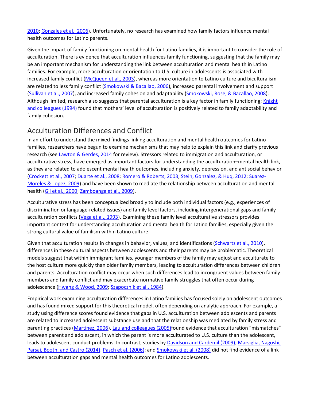[2010;](https://0-web-b-ebscohost-com.libus.csd.mu.edu/ehost/detail/detail?vid=2&sid=7e1faa1d-4cf9-4551-a23d-ec6b0f1ec874%40pdc-v-sessmgr04&bdata=JnNpdGU9ZWhvc3QtbGl2ZQ%3d%3d#c5) [Gonzales et al., 2006\)](https://0-web-b-ebscohost-com.libus.csd.mu.edu/ehost/detail/detail?vid=2&sid=7e1faa1d-4cf9-4551-a23d-ec6b0f1ec874%40pdc-v-sessmgr04&bdata=JnNpdGU9ZWhvc3QtbGl2ZQ%3d%3d#c31). Unfortunately, no research has examined how family factors influence mental health outcomes for Latino parents.

Given the impact of family functioning on mental health for Latino families, it is important to consider the role of acculturation. There is evidence that acculturation influences family functioning, suggesting that the family may be an important mechanism for understanding the link between acculturation and mental health in Latino families. For example, more acculturation or orientation to U.S. culture in adolescents is associated with increased family conflict [\(McQueen et al., 2003\)](https://0-web-b-ebscohost-com.libus.csd.mu.edu/ehost/detail/detail?vid=2&sid=7e1faa1d-4cf9-4551-a23d-ec6b0f1ec874%40pdc-v-sessmgr04&bdata=JnNpdGU9ZWhvc3QtbGl2ZQ%3d%3d#c52), whereas more orientation to Latino culture and biculturalism are related to less family conflict [\(Smokowski & Bacallao, 2006\)](https://0-web-b-ebscohost-com.libus.csd.mu.edu/ehost/detail/detail?vid=2&sid=7e1faa1d-4cf9-4551-a23d-ec6b0f1ec874%40pdc-v-sessmgr04&bdata=JnNpdGU9ZWhvc3QtbGl2ZQ%3d%3d#c71), increased parental involvement and support [\(Sullivan et al., 2007\)](https://0-web-b-ebscohost-com.libus.csd.mu.edu/ehost/detail/detail?vid=2&sid=7e1faa1d-4cf9-4551-a23d-ec6b0f1ec874%40pdc-v-sessmgr04&bdata=JnNpdGU9ZWhvc3QtbGl2ZQ%3d%3d#c78), and increased family cohesion and adaptability [\(Smokowski, Rose, & Bacallao, 2008\)](https://0-web-b-ebscohost-com.libus.csd.mu.edu/ehost/detail/detail?vid=2&sid=7e1faa1d-4cf9-4551-a23d-ec6b0f1ec874%40pdc-v-sessmgr04&bdata=JnNpdGU9ZWhvc3QtbGl2ZQ%3d%3d#c73). Although limited, research also suggests that parental acculturation is a key factor in family functioning; [Knight](https://0-web-b-ebscohost-com.libus.csd.mu.edu/ehost/detail/detail?vid=2&sid=7e1faa1d-4cf9-4551-a23d-ec6b0f1ec874%40pdc-v-sessmgr04&bdata=JnNpdGU9ZWhvc3QtbGl2ZQ%3d%3d#c41)  [and colleagues \(1994\)](https://0-web-b-ebscohost-com.libus.csd.mu.edu/ehost/detail/detail?vid=2&sid=7e1faa1d-4cf9-4551-a23d-ec6b0f1ec874%40pdc-v-sessmgr04&bdata=JnNpdGU9ZWhvc3QtbGl2ZQ%3d%3d#c41) found that mothers' level of acculturation is positively related to family adaptability and family cohesion.

# Acculturation Differences and Conflict

In an effort to understand the mixed findings linking acculturation and mental health outcomes for Latino families, researchers have begun to examine mechanisms that may help to explain this link and clarify previous research (see [Lawton & Gerdes, 2014](https://0-web-b-ebscohost-com.libus.csd.mu.edu/ehost/detail/detail?vid=2&sid=7e1faa1d-4cf9-4551-a23d-ec6b0f1ec874%40pdc-v-sessmgr04&bdata=JnNpdGU9ZWhvc3QtbGl2ZQ%3d%3d#c44) for review). Stressors related to immigration and acculturation, or acculturative stress, have emerged as important factors for understanding the acculturation–mental health link, as they are related to adolescent mental health outcomes, including anxiety, depression, and antisocial behavior [\(Crockett et al., 2007;](https://0-web-b-ebscohost-com.libus.csd.mu.edu/ehost/detail/detail?vid=2&sid=7e1faa1d-4cf9-4551-a23d-ec6b0f1ec874%40pdc-v-sessmgr04&bdata=JnNpdGU9ZWhvc3QtbGl2ZQ%3d%3d#c21) [Duarte et al., 2008;](https://0-web-b-ebscohost-com.libus.csd.mu.edu/ehost/detail/detail?vid=2&sid=7e1faa1d-4cf9-4551-a23d-ec6b0f1ec874%40pdc-v-sessmgr04&bdata=JnNpdGU9ZWhvc3QtbGl2ZQ%3d%3d#c26) [Romero & Roberts, 2003;](https://0-web-b-ebscohost-com.libus.csd.mu.edu/ehost/detail/detail?vid=2&sid=7e1faa1d-4cf9-4551-a23d-ec6b0f1ec874%40pdc-v-sessmgr04&bdata=JnNpdGU9ZWhvc3QtbGl2ZQ%3d%3d#c63) [Stein, Gonzalez, & Huq, 2012;](https://0-web-b-ebscohost-com.libus.csd.mu.edu/ehost/detail/detail?vid=2&sid=7e1faa1d-4cf9-4551-a23d-ec6b0f1ec874%40pdc-v-sessmgr04&bdata=JnNpdGU9ZWhvc3QtbGl2ZQ%3d%3d#c76) [Suarez-](https://0-web-b-ebscohost-com.libus.csd.mu.edu/ehost/detail/detail?vid=2&sid=7e1faa1d-4cf9-4551-a23d-ec6b0f1ec874%40pdc-v-sessmgr04&bdata=JnNpdGU9ZWhvc3QtbGl2ZQ%3d%3d#c77)[Moreles & Lopez, 2009\)](https://0-web-b-ebscohost-com.libus.csd.mu.edu/ehost/detail/detail?vid=2&sid=7e1faa1d-4cf9-4551-a23d-ec6b0f1ec874%40pdc-v-sessmgr04&bdata=JnNpdGU9ZWhvc3QtbGl2ZQ%3d%3d#c77) and have been shown to mediate the relationship between acculturation and mental health [\(Gil et al., 2000;](https://0-web-b-ebscohost-com.libus.csd.mu.edu/ehost/detail/detail?vid=2&sid=7e1faa1d-4cf9-4551-a23d-ec6b0f1ec874%40pdc-v-sessmgr04&bdata=JnNpdGU9ZWhvc3QtbGl2ZQ%3d%3d#c30) [Zamboanga et al., 2009\)](https://0-web-b-ebscohost-com.libus.csd.mu.edu/ehost/detail/detail?vid=2&sid=7e1faa1d-4cf9-4551-a23d-ec6b0f1ec874%40pdc-v-sessmgr04&bdata=JnNpdGU9ZWhvc3QtbGl2ZQ%3d%3d#c85).

Acculturative stress has been conceptualized broadly to include both individual factors (e.g., experiences of discrimination or language-related issues) and family level factors, including intergenerational gaps and family acculturation conflicts [\(Vega et al., 1993\)](https://0-web-b-ebscohost-com.libus.csd.mu.edu/ehost/detail/detail?vid=2&sid=7e1faa1d-4cf9-4551-a23d-ec6b0f1ec874%40pdc-v-sessmgr04&bdata=JnNpdGU9ZWhvc3QtbGl2ZQ%3d%3d#c83). Examining these family level acculturative stressors provides important context for understanding acculturation and mental health for Latino families, especially given the strong cultural value of familism within Latino culture.

Given that acculturation results in changes in behavior, values, and identifications [\(Schwartz et al., 2010\)](https://0-web-b-ebscohost-com.libus.csd.mu.edu/ehost/detail/detail?vid=2&sid=7e1faa1d-4cf9-4551-a23d-ec6b0f1ec874%40pdc-v-sessmgr04&bdata=JnNpdGU9ZWhvc3QtbGl2ZQ%3d%3d#c68), differences in these cultural aspects between adolescents and their parents may be problematic. Theoretical models suggest that within immigrant families, younger members of the family may adjust and acculturate to the host culture more quickly than older family members, leading to acculturation differences between children and parents. Acculturation conflict may occur when such differences lead to incongruent values between family members and family conflict and may exacerbate normative family struggles that often occur during adolescence [\(Hwang & Wood, 2009;](https://0-web-b-ebscohost-com.libus.csd.mu.edu/ehost/detail/detail?vid=2&sid=7e1faa1d-4cf9-4551-a23d-ec6b0f1ec874%40pdc-v-sessmgr04&bdata=JnNpdGU9ZWhvc3QtbGl2ZQ%3d%3d#c37) [Szapocznik et al., 1984\)](https://0-web-b-ebscohost-com.libus.csd.mu.edu/ehost/detail/detail?vid=2&sid=7e1faa1d-4cf9-4551-a23d-ec6b0f1ec874%40pdc-v-sessmgr04&bdata=JnNpdGU9ZWhvc3QtbGl2ZQ%3d%3d#c79).

Empirical work examining acculturation differences in Latino families has focused solely on adolescent outcomes and has found mixed support for this theoretical model, often depending on analytic approach. For example, a study using difference scores found evidence that gaps in U.S. acculturation between adolescents and parents are related to increased adolescent substance use and that the relationship was mediated by family stress and parenting practices [\(Martinez, 2006\)](https://0-web-b-ebscohost-com.libus.csd.mu.edu/ehost/detail/detail?vid=2&sid=7e1faa1d-4cf9-4551-a23d-ec6b0f1ec874%40pdc-v-sessmgr04&bdata=JnNpdGU9ZWhvc3QtbGl2ZQ%3d%3d#c50). [Lau and colleagues \(2005\)f](https://0-web-b-ebscohost-com.libus.csd.mu.edu/ehost/detail/detail?vid=2&sid=7e1faa1d-4cf9-4551-a23d-ec6b0f1ec874%40pdc-v-sessmgr04&bdata=JnNpdGU9ZWhvc3QtbGl2ZQ%3d%3d#c43)ound evidence that acculturation "mismatches" between parent and adolescent, in which the parent is more acculturated to U.S. culture than the adolescent, leads to adolescent conduct problems. In contrast, studies by [Davidson and Cardemil \(2009\);](https://0-web-b-ebscohost-com.libus.csd.mu.edu/ehost/detail/detail?vid=2&sid=7e1faa1d-4cf9-4551-a23d-ec6b0f1ec874%40pdc-v-sessmgr04&bdata=JnNpdGU9ZWhvc3QtbGl2ZQ%3d%3d#c24) Marsiglia, Nagoshi, [Parsai, Booth, and Castro \(2014\);](https://0-web-b-ebscohost-com.libus.csd.mu.edu/ehost/detail/detail?vid=2&sid=7e1faa1d-4cf9-4551-a23d-ec6b0f1ec874%40pdc-v-sessmgr04&bdata=JnNpdGU9ZWhvc3QtbGl2ZQ%3d%3d#c49) [Pasch et al. \(2006\);](https://0-web-b-ebscohost-com.libus.csd.mu.edu/ehost/detail/detail?vid=2&sid=7e1faa1d-4cf9-4551-a23d-ec6b0f1ec874%40pdc-v-sessmgr04&bdata=JnNpdGU9ZWhvc3QtbGl2ZQ%3d%3d#c59) and [Smokowski et al. \(2008\)](https://0-web-b-ebscohost-com.libus.csd.mu.edu/ehost/detail/detail?vid=2&sid=7e1faa1d-4cf9-4551-a23d-ec6b0f1ec874%40pdc-v-sessmgr04&bdata=JnNpdGU9ZWhvc3QtbGl2ZQ%3d%3d#c73) did not find evidence of a link between acculturation gaps and mental health outcomes for Latino adolescents.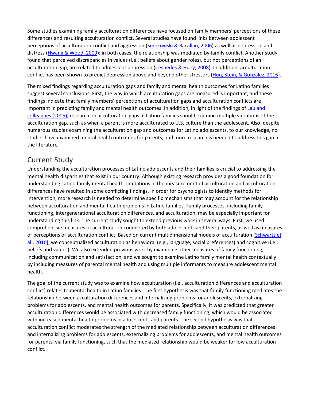Some studies examining family acculturation differences have focused on family members' perceptions of these differences and resulting acculturation conflict. Several studies have found links between adolescent perceptions of acculturation conflict and aggression [\(Smokowski & Bacallao, 2006\)](https://0-web-b-ebscohost-com.libus.csd.mu.edu/ehost/detail/detail?vid=2&sid=7e1faa1d-4cf9-4551-a23d-ec6b0f1ec874%40pdc-v-sessmgr04&bdata=JnNpdGU9ZWhvc3QtbGl2ZQ%3d%3d#c71) as well as depression and distress [\(Hwang & Wood, 2009\)](https://0-web-b-ebscohost-com.libus.csd.mu.edu/ehost/detail/detail?vid=2&sid=7e1faa1d-4cf9-4551-a23d-ec6b0f1ec874%40pdc-v-sessmgr04&bdata=JnNpdGU9ZWhvc3QtbGl2ZQ%3d%3d#c37); in both cases, the relationship was mediated by family conflict. Another study found that perceived discrepancies in values (i.e., beliefs about gender roles), but not perceptions of an acculturation gap, are related to adolescent depression [\(Céspedes & Huey, 2008\)](https://0-web-b-ebscohost-com.libus.csd.mu.edu/ehost/detail/detail?vid=2&sid=7e1faa1d-4cf9-4551-a23d-ec6b0f1ec874%40pdc-v-sessmgr04&bdata=JnNpdGU9ZWhvc3QtbGl2ZQ%3d%3d#c18). In addition, acculturation conflict has been shown to predict depression above and beyond other stressors [\(Huq, Stein, & Gonzalez, 2016\)](https://0-web-b-ebscohost-com.libus.csd.mu.edu/ehost/detail/detail?vid=2&sid=7e1faa1d-4cf9-4551-a23d-ec6b0f1ec874%40pdc-v-sessmgr04&bdata=JnNpdGU9ZWhvc3QtbGl2ZQ%3d%3d#c36).

The mixed findings regarding acculturation gaps and family and mental health outcomes for Latino families suggest several conclusions. First, the way in which acculturation gaps are measured is important, and these findings indicate that family members' perceptions of acculturation gaps and acculturation conflicts are important in predicting family and mental health outcomes. In addition, in light of the findings of [Lau and](https://0-web-b-ebscohost-com.libus.csd.mu.edu/ehost/detail/detail?vid=2&sid=7e1faa1d-4cf9-4551-a23d-ec6b0f1ec874%40pdc-v-sessmgr04&bdata=JnNpdGU9ZWhvc3QtbGl2ZQ%3d%3d#c43)  [colleagues \(2005\),](https://0-web-b-ebscohost-com.libus.csd.mu.edu/ehost/detail/detail?vid=2&sid=7e1faa1d-4cf9-4551-a23d-ec6b0f1ec874%40pdc-v-sessmgr04&bdata=JnNpdGU9ZWhvc3QtbGl2ZQ%3d%3d#c43) research on acculturation gaps in Latino families should examine multiple variations of the acculturation gap, such as when a parent is more acculturated to U.S. culture than the adolescent. Also, despite numerous studies examining the acculturation gap and outcomes for Latino adolescents, to our knowledge, no studies have examined mental health outcomes for parents, and more research is needed to address this gap in the literature.

# Current Study

Understanding the acculturation processes of Latino adolescents and their families is crucial to addressing the mental health disparities that exist in our country. Although existing research provides a good foundation for understanding Latino family mental health, limitations in the measurement of acculturation and acculturation differences have resulted in some conflicting findings. In order for psychologists to identify methods for intervention, more research is needed to determine specific mechanisms that may account for the relationship between acculturation and mental health problems in Latino families. Family processes, including family functioning, intergenerational acculturation differences, and acculturation, may be especially important for understanding this link. The current study sought to extend previous work in several ways. First, we used comprehensive measures of acculturation completed by both adolescents and their parents, as well as measures of perceptions of acculturation conflict. Based on current multidimensional models of acculturation [\(Schwartz et](https://0-web-b-ebscohost-com.libus.csd.mu.edu/ehost/detail/detail?vid=2&sid=7e1faa1d-4cf9-4551-a23d-ec6b0f1ec874%40pdc-v-sessmgr04&bdata=JnNpdGU9ZWhvc3QtbGl2ZQ%3d%3d#c68)  [al., 2010\)](https://0-web-b-ebscohost-com.libus.csd.mu.edu/ehost/detail/detail?vid=2&sid=7e1faa1d-4cf9-4551-a23d-ec6b0f1ec874%40pdc-v-sessmgr04&bdata=JnNpdGU9ZWhvc3QtbGl2ZQ%3d%3d#c68), we conceptualized acculturation as behavioral (e.g., language, social preferences) and cognitive (i.e., beliefs and values). We also extended previous work by examining other measures of family functioning, including communication and satisfaction, and we sought to examine Latino family mental health contextually by including measures of parental mental health and using multiple informants to measure adolescent mental health.

The goal of the current study was to examine how acculturation (i.e., acculturation differences and acculturation conflict) relates to mental health in Latino families. The first hypothesis was that family functioning mediates the relationship between acculturation differences and internalizing problems for adolescents, externalizing problems for adolescents, and mental health outcomes for parents. Specifically, it was predicted that greater acculturation differences would be associated with decreased family functioning, which would be associated with increased mental health problems in adolescents and parents. The second hypothesis was that acculturation conflict moderates the strength of the mediated relationship between acculturation differences and internalizing problems for adolescents, externalizing problems for adolescents, and mental health outcomes for parents, via family functioning, such that the mediated relationship would be weaker for low acculturation conflict.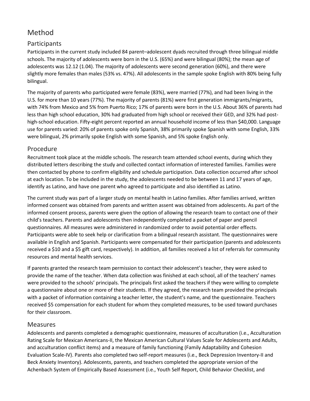# [Method](https://0-web-b-ebscohost-com.libus.csd.mu.edu/ehost/detail/detail?vid=2&sid=7e1faa1d-4cf9-4551-a23d-ec6b0f1ec874%40pdc-v-sessmgr04&bdata=JnNpdGU9ZWhvc3QtbGl2ZQ%3d%3d#toc)

#### Participants

Participants in the current study included 84 parent–adolescent dyads recruited through three bilingual middle schools. The majority of adolescents were born in the U.S. (65%) and were bilingual (80%); the mean age of adolescents was 12.12 (1.04). The majority of adolescents were second generation (60%), and there were slightly more females than males (53% vs. 47%). All adolescents in the sample spoke English with 80% being fully bilingual.

The majority of parents who participated were female (83%), were married (77%), and had been living in the U.S. for more than 10 years (77%). The majority of parents (81%) were first generation immigrants/migrants, with 74% from Mexico and 5% from Puerto Rico; 17% of parents were born in the U.S. About 36% of parents had less than high school education, 30% had graduated from high school or received their GED, and 32% had posthigh-school education. Fifty-eight percent reported an annual household income of less than \$40,000. Language use for parents varied: 20% of parents spoke only Spanish, 38% primarily spoke Spanish with some English, 33% were bilingual, 2% primarily spoke English with some Spanish, and 5% spoke English only.

#### Procedure

Recruitment took place at the middle schools. The research team attended school events, during which they distributed letters describing the study and collected contact information of interested families. Families were then contacted by phone to confirm eligibility and schedule participation. Data collection occurred after school at each location. To be included in the study, the adolescents needed to be between 11 and 17 years of age, identify as Latino, and have one parent who agreed to participate and also identified as Latino.

The current study was part of a larger study on mental health in Latino families. After families arrived, written informed consent was obtained from parents and written assent was obtained from adolescents. As part of the informed consent process, parents were given the option of allowing the research team to contact one of their child's teachers. Parents and adolescents then independently completed a packet of paper and pencil questionnaires. All measures were administered in randomized order to avoid potential order effects. Participants were able to seek help or clarification from a bilingual research assistant. The questionnaires were available in English and Spanish. Participants were compensated for their participation (parents and adolescents received a \$10 and a \$5 gift card, respectively). In addition, all families received a list of referrals for community resources and mental health services.

If parents granted the research team permission to contact their adolescent's teacher, they were asked to provide the name of the teacher. When data collection was finished at each school, all of the teachers' names were provided to the schools' principals. The principals first asked the teachers if they were willing to complete a questionnaire about one or more of their students. If they agreed, the research team provided the principals with a packet of information containing a teacher letter, the student's name, and the questionnaire. Teachers received \$5 compensation for each student for whom they completed measures, to be used toward purchases for their classroom.

#### Measures

Adolescents and parents completed a demographic questionnaire, measures of acculturation (i.e., Acculturation Rating Scale for Mexican Americans-II, the Mexican American Cultural Values Scale for Adolescents and Adults, and acculturation conflict items) and a measure of family functioning (Family Adaptability and Cohesion Evaluation Scale-IV). Parents also completed two self-report measures (i.e., Beck Depression Inventory-II and Beck Anxiety Inventory). Adolescents, parents, and teachers completed the appropriate version of the Achenbach System of Empirically Based Assessment (i.e., Youth Self Report, Child Behavior Checklist, and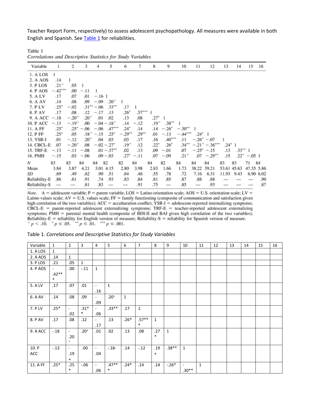Teacher Report Form, respectively) to assess adolescent psychopathology. All measures were available in both English and Spanish. See [Table 1](https://0-web-b-ebscohost-com.libus.csd.mu.edu/ehost/detail/detail?vid=2&sid=7e1faa1d-4cf9-4551-a23d-ec6b0f1ec874%40pdc-v-sessmgr04&bdata=JnNpdGU9ZWhvc3QtbGl2ZQ%3d%3d#tbl1) for reliabilities.

Table 1 Correlations and Descriptive Statistics for Study Variables

| Variable      |           | 2             | 3         | 5<br>4                    | 6             | 7        | 8         | 9              | 10        | 11              | 12                   | 13          | 14         | 15             | 16        |
|---------------|-----------|---------------|-----------|---------------------------|---------------|----------|-----------|----------------|-----------|-----------------|----------------------|-------------|------------|----------------|-----------|
| 1. A LOS      | 1         |               |           |                           |               |          |           |                |           |                 |                      |             |            |                |           |
| 2. A AOS      | .14       |               |           |                           |               |          |           |                |           |                 |                      |             |            |                |           |
| 3. P LOS      | $.21 +$   | .05           |           |                           |               |          |           |                |           |                 |                      |             |            |                |           |
| 4. P AOS      | $-.42***$ | .00           | $-.11$    |                           |               |          |           |                |           |                 |                      |             |            |                |           |
| 5. A LV       | .17       | .07           | .01       | $-.161$                   |               |          |           |                |           |                 |                      |             |            |                |           |
| 6. A AV       | .14       | .08           | .09       | $.20^{+}$<br>$-.09$       | 1             |          |           |                |           |                 |                      |             |            |                |           |
| 7. P LV       | $.25*$    | $-.02$        |           | $.33***$<br>$.31*** -.06$ | .17           |          |           |                |           |                 |                      |             |            |                |           |
| 8. P AV       | .17       | .08           | .12       | .13<br>$-.17$             | $.26^{\circ}$ | $.57***$ |           |                |           |                 |                      |             |            |                |           |
| 9. A ACC      | $-.18$    | $-.20^{+}$    | $.20^{+}$ | .01<br>.02                | .13           | .08      | $.27^*$   | -1             |           |                 |                      |             |            |                |           |
| 10. P ACC     | $-.13$    | $-.19+$       | .00       | $-.04-.18+$               | .14           | $-.12$   | $.19^{+}$ | $.38***$       |           |                 |                      |             |            |                |           |
| 11. A FF      | $.25*$    | $.25^{\circ}$ | $-.06$    | $.47***$<br>$-.06$        | $.24^{\circ}$ | .14      | .14       | $-.26^{\circ}$ | $-.30**$  |                 |                      |             |            |                |           |
| 12. P FF      | $.25*$    | .05           | $.18^{+}$ | $.25*$<br>$-.15$          | $-.29***$     | $.29***$ | .01       | $-.13$         | $-.44***$ | $.24^{\circ}$ 1 |                      |             |            |                |           |
| 13. YSR-I     | .01       | $-.12$        | $.20^{+}$ | .04<br>.03                | .03           | .17      | .16       | $.40***$       | .11       |                 | $-.26^* - .07$       |             |            |                |           |
| 14. CBCL-E    | .07       | $-.20+$       | .08       | $-.02-.27*$               | $.19^{+}$     | .12      | $.22*$    | .26°           | $.34***$  |                 | $-.21^{+}-.36^{***}$ | $.24^*$ 1   |            |                |           |
| 15. TRF-E     | $-.13$    | $-.11$        | $-.08$    | $.01 - .37$ **            | .02           | .13      | .09       | $-.01$         | .07       |                 | $-.25^* - .15$       | .13         | $.33***$ 1 |                |           |
| 16. PMH       | $-.15$    | .03           | $-.06$    | $.09 - .03$               | $.27^*$       | $-.11$   | .07       | $-.09$         | $.21+$    | .07             | $-.29**$             | .15         |            | $.22^* - .051$ |           |
| Ν             | 83        | 83            | 84        | 82<br>84                  | 82            | 84       | 84        | 82             | 84        | 84              | 84                   | 83          | 83         | 71             | 84        |
| Mean          | 3.84      | 3.87          | 4.21      | 3.01 4.15                 | 2.80          | 3.98     | 2.83      | 1.66           | 1.73      | 38.22           | 39.21                | 53.61 45.63 |            | 47.35 5.86     |           |
| SD            | .69       | .49           | .62       | .90<br>.51                | .64           | .46      | .55       | .78            | .72       | 7.16            | 6.31                 | 11.93       | 9.43       |                | 6.90 6.02 |
| Reliability-E | .86       | .61           | .91       | .74<br>.93                | .83           | .84      | .81       | .85            | .87       | .88             | .88                  |             |            |                | .90       |
| Reliability-S |           |               | .81       | .83                       |               | .91      | .75       |                | .85       |                 | .93                  |             |            |                | .87       |

Note. A = adolescent variable; P = parent variable; LOS = Latino orientation scale; AOS = U.S. orientation scale; LV = Latino values scale;  $AV = U.S.$  values scale;  $FF = family$  functioning (composite of communication and satisfaction given high correlation of the two variables);  $ACC = \text{accumutation conflict}$ ;  $YSR-I = \text{adolescent-reported internalizing symptoms}$ ;  $CBCL-E = \text{parent-reported adolescent externalizing symptoms}$ ;  $TRF-E = \text{teacher-reported adolescent externalizing}}$ symptoms; PMH = parental mental health (composite of BDI-II and BAI given high correlation of the two variables); Reliability-E = reliability for English version of measure; Reliability-S = reliability for Spanish version of measure.<br>  $p < .10$ .  $p \le .05$ .  $\rightarrow p \le .01$ .  $\rightarrow \rightarrow p \le .001$ .

| Table 1. Correlations and Descriptive Statistics for Study Variables |  |  |
|----------------------------------------------------------------------|--|--|
|----------------------------------------------------------------------|--|--|

| Variable     | $\mathbf{1}$                                  | $\overline{2}$                         | 3                | 4                               | 5                 | 6            | $\overline{7}$    | 8                | 9       | 10                        | 11           | 12 | 13 | 14 | 15 | 16 |
|--------------|-----------------------------------------------|----------------------------------------|------------------|---------------------------------|-------------------|--------------|-------------------|------------------|---------|---------------------------|--------------|----|----|----|----|----|
| 1. A LOS     | $\mathbf{1}$                                  |                                        |                  |                                 |                   |              |                   |                  |         |                           |              |    |    |    |    |    |
| 2. A AOS     | .14                                           | $\mathbf{1}$                           |                  |                                 |                   |              |                   |                  |         |                           |              |    |    |    |    |    |
| 3. PLOS      | $.21 -$                                       | .05                                    | $\mathbf{1}$     |                                 |                   |              |                   |                  |         |                           |              |    |    |    |    |    |
| 4. PAOS      | $\overline{\phantom{a}}$<br>$.42**$<br>$\ast$ | .00.                                   | $-.11$           | $\mathbf{1}$                    |                   |              |                   |                  |         |                           |              |    |    |    |    |    |
| 5. A LV      | .17                                           | .07                                    | .01              | $\overline{\phantom{a}}$        | $\mathbf{1}$      |              |                   |                  |         |                           |              |    |    |    |    |    |
|              |                                               |                                        |                  | .16                             |                   |              |                   |                  |         |                           |              |    |    |    |    |    |
| 6. A AV      | .14                                           | .08                                    | .09              | $\overline{\phantom{0}}$<br>.09 | $.20+$            | $\mathbf{1}$ |                   |                  |         |                           |              |    |    |    |    |    |
| 7. P LV      | $.25*$                                        | $\blacksquare$<br>.02                  | $.31*$<br>$\ast$ | $\blacksquare$<br>.06           | $.33***$          | .17          | $\mathbf{1}$      |                  |         |                           |              |    |    |    |    |    |
| 8. P AV      | .17                                           | .08                                    | .12              | $\sim$<br>.17                   | .13               | $.26*$       | $.57**$<br>$\ast$ | $\mathbf{1}$     |         |                           |              |    |    |    |    |    |
| 9. A ACC     | $-.18$                                        | $\overline{\phantom{a}}$<br>.20<br>$+$ | $.20^{+}$        | .01                             | .02               | .13          | .08               | .27<br>$\ast$    | 1       |                           |              |    |    |    |    |    |
| 10. P<br>ACC | $-.13$                                        | $\sim$<br>.19<br>$+$                   | .00.             | $\blacksquare$<br>.04           | $-.18-$           | .14          | $-.12$            | .19<br>$\ddot{}$ | $.38**$ | $\mathbf{1}$              |              |    |    |    |    |    |
| 11. A FF     | $.25*$                                        | .25<br>$\ast$                          | $-0.06$          | $\blacksquare$<br>.06           | $.47**$<br>$\ast$ | $.24*$       | .14               | .14              | $-.26*$ | $\blacksquare$<br>$.30**$ | $\mathbf{1}$ |    |    |    |    |    |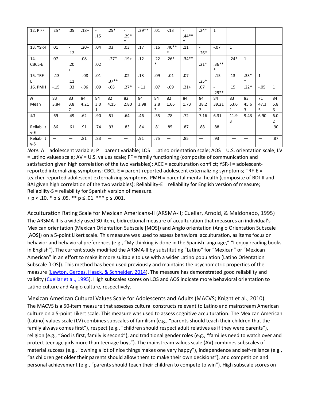| 12. P FF          | $.25*$ | .05                             | $.18+$  | $\sim$<br>.15 | $.25*$            | $.29*$<br>$\ast$ | $.29**$ | .01           | $-.13$            | $\sim$<br>$.44**$<br>$\ast$ | $.24*$                 | $\mathbf{1}$                |              |                  |              |                       |
|-------------------|--------|---------------------------------|---------|---------------|-------------------|------------------|---------|---------------|-------------------|-----------------------------|------------------------|-----------------------------|--------------|------------------|--------------|-----------------------|
| 13. YSR-I         | .01    | $\overline{\phantom{a}}$<br>.12 | $.20+$  | .04           | .03               | .03              | .17     | .16           | $.40**$<br>$\ast$ | .11                         | $\sim$<br>$.26*$       | $-.07$                      | $\mathbf{1}$ |                  |              |                       |
| 14.<br>CBCL-E     | .07    | $\sim$<br>.20<br>$+$            | .08     | $\sim$<br>.02 | $-.27*$           | $.19+$           | .12     | .22<br>$\ast$ | $.26*$            | $.34**$                     | $.21*$                 | $\sim$<br>$.36**$<br>$\ast$ | $.24*$       | $\mathbf{1}$     |              |                       |
| 15. TRF-<br>E.    | $-.13$ | $\overline{\phantom{a}}$<br>.11 | $-.08$  | .01           | $\sim$<br>$.37**$ | .02              | .13     | .09           | $-.01$            | .07                         | $\sim$<br>$.25*$       | $-.15$                      | .13          | $.33*$<br>$\ast$ | $\mathbf{1}$ |                       |
| 16. PMH           | $-.15$ | .03                             | $-0.06$ | .09           | $-.03$            | $.27*$           | $-.11$  | .07           | $-.09$            | $.21+$                      | .07                    | $\sim$<br>$.29**$           | .15          | $.22*$           | $-.05$       | $\mathbf{1}$          |
| N                 | 83     | 83                              | 84      | 84            | 82                | 82               | 84      | 84            | 82                | 84                          | 84                     | 84                          | 83           | 83               | 71           | 84                    |
| Mean              | 3.84   | 3.8<br>$\overline{7}$           | 4.21    | 3.0<br>1      | 4.15              | 2.80             | 3.98    | 2.8<br>3      | 1.66              | 1.73                        | 38.2<br>$\overline{2}$ | 39.21                       | 53.6<br>1    | 45.6<br>3        | 47.3<br>5    | 5.8<br>6              |
| SD                | .69    | .49                             | .62     | .90           | .51               | .64              | .46     | .55           | .78               | .72                         | 7.16                   | 6.31                        | 11.9<br>3    | 9.43             | 6.90         | 6.0<br>$\overline{2}$ |
| Reliabilit<br>y-E | .86    | .61                             | .91     | .74           | .93               | .83              | .84     | .81           | .85               | .87                         | .88                    | .88                         | —            |                  |              | .90                   |
| Reliabilit<br>y-S | —      | $\hspace{0.05cm}$               | .81     | .83           | —                 |                  | .91     | .75           | —                 | .85                         |                        | .93                         |              |                  |              | .87                   |

*Note.* A = adolescent variable; P = parent variable; LOS = Latino orientation scale; AOS = U.S. orientation scale; LV = Latino values scale; AV = U.S. values scale; FF = family functioning (composite of communication and satisfaction given high correlation of the two variables); ACC = acculturation conflict; YSR-I = adolescentreported internalizing symptoms; CBCL-E = parent-reported adolescent externalizing symptoms; TRF-E = teacher-reported adolescent externalizing symptoms; PMH = parental mental health (composite of BDI-II and BAI given high correlation of the two variables); Reliability-E = reliability for English version of measure; Reliability-S = reliability for Spanish version of measure.  $+ p < .10.$  \*  $p \le .05.$  \*\*  $p \le .01.$  \*\*\*  $p \le .001.$ 

Acculturation Rating Scale for Mexican Americans-II (ARSMA-II; [Cuellar, Arnold, & Maldonado, 1995\)](https://0-web-b-ebscohost-com.libus.csd.mu.edu/ehost/detail/detail?vid=2&sid=7e1faa1d-4cf9-4551-a23d-ec6b0f1ec874%40pdc-v-sessmgr04&bdata=JnNpdGU9ZWhvc3QtbGl2ZQ%3d%3d#c22) The ARSMA-II is a widely used 30-item, bidirectional measure of acculturation that measures an individual's Mexican orientation (Mexican Orientation Subscale [MOS]) and Anglo orientation (Anglo Orientation Subscale [AOS]) on a 5-point Likert scale. This measure was used to assess behavioral acculturation, as items focus on behavior and behavioral preferences (e.g., "My thinking is done in the Spanish language," "I enjoy reading books in English"). The current study modified the ARSMA-II by substituting "Latino" for "Mexican" or "Mexican American" in an effort to make it more suitable to use with a wider Latino population (Latino Orientation Subscale [LOS]). This method has been used previously and maintains the psychometric properties of the measure [\(Lawton, Gerdes, Haack, & Schneider, 2014\)](https://0-web-b-ebscohost-com.libus.csd.mu.edu/ehost/detail/detail?vid=2&sid=7e1faa1d-4cf9-4551-a23d-ec6b0f1ec874%40pdc-v-sessmgr04&bdata=JnNpdGU9ZWhvc3QtbGl2ZQ%3d%3d#c45). The measure has demonstrated good reliability and validity [\(Cuellar et al., 1995\)](https://0-web-b-ebscohost-com.libus.csd.mu.edu/ehost/detail/detail?vid=2&sid=7e1faa1d-4cf9-4551-a23d-ec6b0f1ec874%40pdc-v-sessmgr04&bdata=JnNpdGU9ZWhvc3QtbGl2ZQ%3d%3d#c22). High subscales scores on LOS and AOS indicate more behavioral orientation to Latino culture and Anglo culture, respectively.

Mexican American Cultural Values Scale for Adolescents and Adults (MACVS; [Knight et al., 2010\)](https://0-web-b-ebscohost-com.libus.csd.mu.edu/ehost/detail/detail?vid=2&sid=7e1faa1d-4cf9-4551-a23d-ec6b0f1ec874%40pdc-v-sessmgr04&bdata=JnNpdGU9ZWhvc3QtbGl2ZQ%3d%3d#c40) The MACVS is a 50-item measure that assesses cultural constructs relevant to Latino and mainstream American culture on a 5-point Likert scale. This measure was used to assess cognitive acculturation. The Mexican American (Latino) values scale (LV) combines subscales of familism (e.g., "parents should teach their children that the family always comes first"), respect (e.g., "children should respect adult relatives as if they were parents"), religion (e.g., "God is first, family is second"), and traditional gender roles (e.g., "families need to watch over and protect teenage girls more than teenage boys"). The mainstream values scale (AV) combines subscales of material success (e.g., "owning a lot of nice things makes one very happy"), independence and self-reliance (e.g., "as children get older their parents should allow them to make their own decisions"), and competition and personal achievement (e.g., "parents should teach their children to compete to win"). High subscale scores on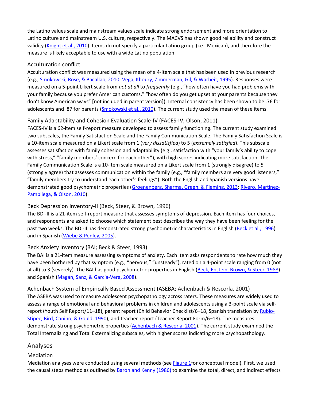the Latino values scale and mainstream values scale indicate strong endorsement and more orientation to Latino culture and mainstream U.S. culture, respectively. The MACVS has shown good reliability and construct validity [\(Knight et al., 2010\)](https://0-web-b-ebscohost-com.libus.csd.mu.edu/ehost/detail/detail?vid=2&sid=7e1faa1d-4cf9-4551-a23d-ec6b0f1ec874%40pdc-v-sessmgr04&bdata=JnNpdGU9ZWhvc3QtbGl2ZQ%3d%3d#c40). Items do not specify a particular Latino group (i.e., Mexican), and therefore the measure is likely acceptable to use with a wide Latino population.

#### Acculturation conflict

Acculturation conflict was measured using the mean of a 4-item scale that has been used in previous research (e.g., [Smokowski, Rose, & Bacallao, 2010;](https://0-web-b-ebscohost-com.libus.csd.mu.edu/ehost/detail/detail?vid=2&sid=7e1faa1d-4cf9-4551-a23d-ec6b0f1ec874%40pdc-v-sessmgr04&bdata=JnNpdGU9ZWhvc3QtbGl2ZQ%3d%3d#c74) [Vega, Khoury, Zimmerman, Gil, & Warheit, 1995\)](https://0-web-b-ebscohost-com.libus.csd.mu.edu/ehost/detail/detail?vid=2&sid=7e1faa1d-4cf9-4551-a23d-ec6b0f1ec874%40pdc-v-sessmgr04&bdata=JnNpdGU9ZWhvc3QtbGl2ZQ%3d%3d#c82). Responses were measured on a 5-point Likert scale from *not at all* to *frequently* (e.g., "how often have you had problems with your family because you prefer American customs," "how often do you get upset at your parents because they don't know American ways" **[**not included in parent version**]**). Internal consistency has been shown to be .76 for adolescents and .87 for parents [\(Smokowski et al., 2010\)](https://0-web-b-ebscohost-com.libus.csd.mu.edu/ehost/detail/detail?vid=2&sid=7e1faa1d-4cf9-4551-a23d-ec6b0f1ec874%40pdc-v-sessmgr04&bdata=JnNpdGU9ZWhvc3QtbGl2ZQ%3d%3d#c74). The current study used the mean of these items.

#### Family Adaptability and Cohesion Evaluation Scale-IV (FACES-IV; [Olson, 2011\)](https://0-web-b-ebscohost-com.libus.csd.mu.edu/ehost/detail/detail?vid=2&sid=7e1faa1d-4cf9-4551-a23d-ec6b0f1ec874%40pdc-v-sessmgr04&bdata=JnNpdGU9ZWhvc3QtbGl2ZQ%3d%3d#c58)

FACES-IV is a 62-item self-report measure developed to assess family functioning. The current study examined two subscales, the Family Satisfaction Scale and the Family Communication Scale. The Family Satisfaction Scale is a 10-item scale measured on a Likert scale from 1 (*very dissatisfied*) to 5 (*extremely satisfied*). This subscale assesses satisfaction with family cohesion and adaptability (e.g., satisfaction with "your family's ability to cope with stress," "family members' concern for each other"), with high scores indicating more satisfaction. The Family Communication Scale is a 10-item scale measured on a Likert scale from 1 (strongly disagree) to 5 (strongly agree) that assesses communication within the family (e.g., "family members are very good listeners," "family members try to understand each other's feelings"). Both the English and Spanish versions have demonstrated good psychometric properties [\(Groenenberg, Sharma, Green, & Fleming, 2013;](https://0-web-b-ebscohost-com.libus.csd.mu.edu/ehost/detail/detail?vid=2&sid=7e1faa1d-4cf9-4551-a23d-ec6b0f1ec874%40pdc-v-sessmgr04&bdata=JnNpdGU9ZWhvc3QtbGl2ZQ%3d%3d#c34) [Rivero, Martinez-](https://0-web-b-ebscohost-com.libus.csd.mu.edu/ehost/detail/detail?vid=2&sid=7e1faa1d-4cf9-4551-a23d-ec6b0f1ec874%40pdc-v-sessmgr04&bdata=JnNpdGU9ZWhvc3QtbGl2ZQ%3d%3d#c62)[Pampliega, & Olson, 2010\)](https://0-web-b-ebscohost-com.libus.csd.mu.edu/ehost/detail/detail?vid=2&sid=7e1faa1d-4cf9-4551-a23d-ec6b0f1ec874%40pdc-v-sessmgr04&bdata=JnNpdGU9ZWhvc3QtbGl2ZQ%3d%3d#c62).

#### Beck Depression Inventory-II [\(Beck, Steer, & Brown, 1996\)](https://0-web-b-ebscohost-com.libus.csd.mu.edu/ehost/detail/detail?vid=2&sid=7e1faa1d-4cf9-4551-a23d-ec6b0f1ec874%40pdc-v-sessmgr04&bdata=JnNpdGU9ZWhvc3QtbGl2ZQ%3d%3d#c9)

The BDI-II is a 21-item self-report measure that assesses symptoms of depression. Each item has four choices, and respondents are asked to choose which statement best describes the way they have been feeling for the past two weeks. The BDI-II has demonstrated strong psychometric characteristics in English [\(Beck et al., 1996\)](https://0-web-b-ebscohost-com.libus.csd.mu.edu/ehost/detail/detail?vid=2&sid=7e1faa1d-4cf9-4551-a23d-ec6b0f1ec874%40pdc-v-sessmgr04&bdata=JnNpdGU9ZWhvc3QtbGl2ZQ%3d%3d#c9) and in Spanish [\(Wiebe & Penley, 2005\)](https://0-web-b-ebscohost-com.libus.csd.mu.edu/ehost/detail/detail?vid=2&sid=7e1faa1d-4cf9-4551-a23d-ec6b0f1ec874%40pdc-v-sessmgr04&bdata=JnNpdGU9ZWhvc3QtbGl2ZQ%3d%3d#c84).

#### Beck Anxiety Inventory (BAI; [Beck & Steer, 1993\)](https://0-web-b-ebscohost-com.libus.csd.mu.edu/ehost/detail/detail?vid=2&sid=7e1faa1d-4cf9-4551-a23d-ec6b0f1ec874%40pdc-v-sessmgr04&bdata=JnNpdGU9ZWhvc3QtbGl2ZQ%3d%3d#c8)

The BAI is a 21-item measure assessing symptoms of anxiety. Each item asks respondents to rate how much they have been bothered by that symptom (e.g., "nervous," "unsteady"), rated on a 4-point scale ranging from 0 (not at all) to 3 (severely). The BAI has good psychometric properties in English [\(Beck, Epstein, Brown, & Steer, 1988\)](https://0-web-b-ebscohost-com.libus.csd.mu.edu/ehost/detail/detail?vid=2&sid=7e1faa1d-4cf9-4551-a23d-ec6b0f1ec874%40pdc-v-sessmgr04&bdata=JnNpdGU9ZWhvc3QtbGl2ZQ%3d%3d#c7) and Spanish [\(Magán, Sanz, & García-Vera, 2008\)](https://0-web-b-ebscohost-com.libus.csd.mu.edu/ehost/detail/detail?vid=2&sid=7e1faa1d-4cf9-4551-a23d-ec6b0f1ec874%40pdc-v-sessmgr04&bdata=JnNpdGU9ZWhvc3QtbGl2ZQ%3d%3d#c48).

#### Achenbach System of Empirically Based Assessment (ASEBA; [Achenbach & Rescorla, 2001\)](https://0-web-b-ebscohost-com.libus.csd.mu.edu/ehost/detail/detail?vid=2&sid=7e1faa1d-4cf9-4551-a23d-ec6b0f1ec874%40pdc-v-sessmgr04&bdata=JnNpdGU9ZWhvc3QtbGl2ZQ%3d%3d#c1) The ASEBA was used to measure adolescent psychopathology across raters. These measures are widely used to assess a range of emotional and behavioral problems in children and adolescents using a 3-point scale via selfreport (Youth Self Report/11–18), parent report (Child Behavior Checklist/6–18, Spanish translation by [Rubio-](https://0-web-b-ebscohost-com.libus.csd.mu.edu/ehost/detail/detail?vid=2&sid=7e1faa1d-4cf9-4551-a23d-ec6b0f1ec874%40pdc-v-sessmgr04&bdata=JnNpdGU9ZWhvc3QtbGl2ZQ%3d%3d#c64)[Stipec, Bird, Canino, & Gould, 1990\)](https://0-web-b-ebscohost-com.libus.csd.mu.edu/ehost/detail/detail?vid=2&sid=7e1faa1d-4cf9-4551-a23d-ec6b0f1ec874%40pdc-v-sessmgr04&bdata=JnNpdGU9ZWhvc3QtbGl2ZQ%3d%3d#c64), and teacher-report (Teacher Report Form/6–18). The measures demonstrate strong psychometric properties [\(Achenbach & Rescorla, 2001\)](https://0-web-b-ebscohost-com.libus.csd.mu.edu/ehost/detail/detail?vid=2&sid=7e1faa1d-4cf9-4551-a23d-ec6b0f1ec874%40pdc-v-sessmgr04&bdata=JnNpdGU9ZWhvc3QtbGl2ZQ%3d%3d#c1). The current study examined the Total Internalizing and Total Externalizing subscales, with higher scores indicating more psychopathology.

#### Analyses

#### Mediation

Mediation analyses were conducted using several methods (see [Figure 1f](https://0-web-b-ebscohost-com.libus.csd.mu.edu/ehost/detail/detail?vid=2&sid=7e1faa1d-4cf9-4551-a23d-ec6b0f1ec874%40pdc-v-sessmgr04&bdata=JnNpdGU9ZWhvc3QtbGl2ZQ%3d%3d#fig1)or conceptual model). First, we used the causal steps method as outlined by [Baron and Kenny \(1986\)](https://0-web-b-ebscohost-com.libus.csd.mu.edu/ehost/detail/detail?vid=2&sid=7e1faa1d-4cf9-4551-a23d-ec6b0f1ec874%40pdc-v-sessmgr04&bdata=JnNpdGU9ZWhvc3QtbGl2ZQ%3d%3d#c6) to examine the total, direct, and indirect effects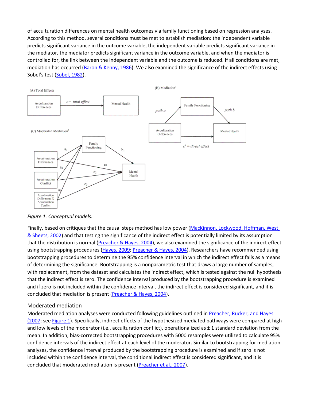of acculturation differences on mental health outcomes via family functioning based on regression analyses. According to this method, several conditions must be met to establish mediation: the independent variable predicts significant variance in the outcome variable, the independent variable predicts significant variance in the mediator, the mediator predicts significant variance in the outcome variable, and when the mediator is controlled for, the link between the independent variable and the outcome is reduced. If all conditions are met, mediation has occurred [\(Baron & Kenny, 1986\)](https://0-web-b-ebscohost-com.libus.csd.mu.edu/ehost/detail/detail?vid=2&sid=7e1faa1d-4cf9-4551-a23d-ec6b0f1ec874%40pdc-v-sessmgr04&bdata=JnNpdGU9ZWhvc3QtbGl2ZQ%3d%3d#c6). We also examined the significance of the indirect effects using Sobel's test [\(Sobel, 1982\)](https://0-web-b-ebscohost-com.libus.csd.mu.edu/ehost/detail/detail?vid=2&sid=7e1faa1d-4cf9-4551-a23d-ec6b0f1ec874%40pdc-v-sessmgr04&bdata=JnNpdGU9ZWhvc3QtbGl2ZQ%3d%3d#c75).



*Figure 1. Conceptual models.*

Finally, based on critiques that the causal steps method has low power (MacKinnon, Lockwood, Hoffman, West, [& Sheets, 2002\)](https://0-web-b-ebscohost-com.libus.csd.mu.edu/ehost/detail/detail?vid=2&sid=7e1faa1d-4cf9-4551-a23d-ec6b0f1ec874%40pdc-v-sessmgr04&bdata=JnNpdGU9ZWhvc3QtbGl2ZQ%3d%3d#c47) and that testing the significance of the indirect effect is potentially limited by its assumption that the distribution is normal [\(Preacher & Hayes, 2004\)](https://0-web-b-ebscohost-com.libus.csd.mu.edu/ehost/detail/detail?vid=2&sid=7e1faa1d-4cf9-4551-a23d-ec6b0f1ec874%40pdc-v-sessmgr04&bdata=JnNpdGU9ZWhvc3QtbGl2ZQ%3d%3d#c60), we also examined the significance of the indirect effect using bootstrapping procedures [\(Hayes, 2009;](https://0-web-b-ebscohost-com.libus.csd.mu.edu/ehost/detail/detail?vid=2&sid=7e1faa1d-4cf9-4551-a23d-ec6b0f1ec874%40pdc-v-sessmgr04&bdata=JnNpdGU9ZWhvc3QtbGl2ZQ%3d%3d#c35) [Preacher & Hayes, 2004\)](https://0-web-b-ebscohost-com.libus.csd.mu.edu/ehost/detail/detail?vid=2&sid=7e1faa1d-4cf9-4551-a23d-ec6b0f1ec874%40pdc-v-sessmgr04&bdata=JnNpdGU9ZWhvc3QtbGl2ZQ%3d%3d#c60). Researchers have recommended using bootstrapping procedures to determine the 95% confidence interval in which the indirect effect falls as a means of determining the significance. Bootstrapping is a nonparametric test that draws a large number of samples, with replacement, from the dataset and calculates the indirect effect, which is tested against the null hypothesis that the indirect effect is zero. The confidence interval produced by the bootstrapping procedure is examined and if zero is not included within the confidence interval, the indirect effect is considered significant, and it is concluded that mediation is present [\(Preacher & Hayes, 2004\)](https://0-web-b-ebscohost-com.libus.csd.mu.edu/ehost/detail/detail?vid=2&sid=7e1faa1d-4cf9-4551-a23d-ec6b0f1ec874%40pdc-v-sessmgr04&bdata=JnNpdGU9ZWhvc3QtbGl2ZQ%3d%3d#c60).

#### Moderated mediation

Moderated mediation analyses were conducted following guidelines outlined in Preacher, Rucker, and Hayes [\(2007;](https://0-web-b-ebscohost-com.libus.csd.mu.edu/ehost/detail/detail?vid=2&sid=7e1faa1d-4cf9-4551-a23d-ec6b0f1ec874%40pdc-v-sessmgr04&bdata=JnNpdGU9ZWhvc3QtbGl2ZQ%3d%3d#c61) see [Figure 1\)](https://0-web-b-ebscohost-com.libus.csd.mu.edu/ehost/detail/detail?vid=2&sid=7e1faa1d-4cf9-4551-a23d-ec6b0f1ec874%40pdc-v-sessmgr04&bdata=JnNpdGU9ZWhvc3QtbGl2ZQ%3d%3d#fig1). Specifically, indirect effects of the hypothesized mediated pathways were compared at high and low levels of the moderator (i.e., acculturation conflict), operationalized as  $\pm$  1 standard deviation from the mean. In addition, bias-corrected bootstrapping procedures with 5000 resamples were utilized to calculate 95% confidence intervals of the indirect effect at each level of the moderator. Similar to bootstrapping for mediation analyses, the confidence interval produced by the bootstrapping procedure is examined and if zero is not included within the confidence interval, the conditional indirect effect is considered significant, and it is concluded that moderated mediation is present [\(Preacher et al., 2007\)](https://0-web-b-ebscohost-com.libus.csd.mu.edu/ehost/detail/detail?vid=2&sid=7e1faa1d-4cf9-4551-a23d-ec6b0f1ec874%40pdc-v-sessmgr04&bdata=JnNpdGU9ZWhvc3QtbGl2ZQ%3d%3d#c61).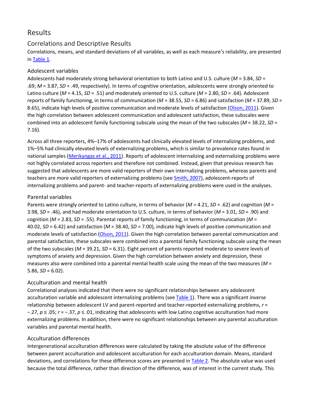# [Results](https://0-web-b-ebscohost-com.libus.csd.mu.edu/ehost/detail/detail?vid=2&sid=7e1faa1d-4cf9-4551-a23d-ec6b0f1ec874%40pdc-v-sessmgr04&bdata=JnNpdGU9ZWhvc3QtbGl2ZQ%3d%3d#toc)

#### Correlations and Descriptive Results

Correlations, means, and standard deviations of all variables, as well as each measure's reliability, are presented in [Table 1.](https://0-web-b-ebscohost-com.libus.csd.mu.edu/ehost/detail/detail?vid=2&sid=7e1faa1d-4cf9-4551-a23d-ec6b0f1ec874%40pdc-v-sessmgr04&bdata=JnNpdGU9ZWhvc3QtbGl2ZQ%3d%3d#tbl1)

#### Adolescent variables

Adolescents had moderately strong behavioral orientation to both Latino and U.S. culture (*M* = 3.84, *SD* = .69; *M* = 3.87, *SD* = .49, respectively). In terms of cognitive orientation, adolescents were strongly oriented to Latino culture (*M* = 4.15, *SD* = .51) and moderately oriented to U.S. culture (*M* = 2.80, *SD* = .64). Adolescent reports of family functioning, in terms of communication (*M* = 38.55, *SD* = 6.86) and satisfaction (*M* = 37.89, *SD* = 8.65), indicate high levels of positive communication and moderate levels of satisfaction [\(Olson, 2011\)](https://0-web-b-ebscohost-com.libus.csd.mu.edu/ehost/detail/detail?vid=2&sid=7e1faa1d-4cf9-4551-a23d-ec6b0f1ec874%40pdc-v-sessmgr04&bdata=JnNpdGU9ZWhvc3QtbGl2ZQ%3d%3d#c58). Given the high correlation between adolescent communication and adolescent satisfaction, these subscales were combined into an adolescent family functioning subscale using the mean of the two subscales (*M* = 38.22, *SD* = 7.16).

Across all three reporters, 4%–17% of adolescents had clinically elevated levels of internalizing problems, and 1%–5% had clinically elevated levels of externalizing problems, which is similar to prevalence rates found in national samples [\(Merikangas et al., 2011\)](https://0-web-b-ebscohost-com.libus.csd.mu.edu/ehost/detail/detail?vid=2&sid=7e1faa1d-4cf9-4551-a23d-ec6b0f1ec874%40pdc-v-sessmgr04&bdata=JnNpdGU9ZWhvc3QtbGl2ZQ%3d%3d#c54). Reports of adolescent internalizing and externalizing problems were not highly correlated across reporters and therefore not combined. Instead, given that previous research has suggested that adolescents are more valid reporters of their own internalizing problems, whereas parents and teachers are more valid reporters of externalizing problems (see [Smith, 2007\)](https://0-web-b-ebscohost-com.libus.csd.mu.edu/ehost/detail/detail?vid=2&sid=7e1faa1d-4cf9-4551-a23d-ec6b0f1ec874%40pdc-v-sessmgr04&bdata=JnNpdGU9ZWhvc3QtbGl2ZQ%3d%3d#c70), adolescent-reports of internalizing problems and parent- and teacher-reports of externalizing problems were used in the analyses.

#### Parental variables

Parents were strongly oriented to Latino culture, in terms of behavior (*M* = 4.21, *SD* = .62) and cognition (*M* = 3.98, *SD* = .46), and had moderate orientation to U.S. culture, in terms of behavior (*M* = 3.01, *SD* = .90) and cognition (*M* = 2.83, *SD* = .55). Parental reports of family functioning, in terms of communication (*M* = 40.02, *SD* = 6.42) and satisfaction (*M* = 38.40, *SD* = 7.00), indicate high levels of positive communication and moderate levels of satisfaction [\(Olson, 2011\)](https://0-web-b-ebscohost-com.libus.csd.mu.edu/ehost/detail/detail?vid=2&sid=7e1faa1d-4cf9-4551-a23d-ec6b0f1ec874%40pdc-v-sessmgr04&bdata=JnNpdGU9ZWhvc3QtbGl2ZQ%3d%3d#c58). Given the high correlation between parental communication and parental satisfaction, these subscales were combined into a parental family functioning subscale using the mean of the two subscales (*M* = 39.21, *SD* = 6.31). Eight percent of parents reported moderate to severe levels of symptoms of anxiety and depression. Given the high correlation between anxiety and depression, these measures also were combined into a parental mental health scale using the mean of the two measures (*M* =  $5.86, SD = 6.02$ ).

#### Acculturation and mental health

Correlational analyses indicated that there were no significant relationships between any adolescent acculturation variable and adolescent internalizing problems (see [Table 1\)](https://0-web-b-ebscohost-com.libus.csd.mu.edu/ehost/detail/detail?vid=2&sid=7e1faa1d-4cf9-4551-a23d-ec6b0f1ec874%40pdc-v-sessmgr04&bdata=JnNpdGU9ZWhvc3QtbGl2ZQ%3d%3d#tbl1). There was a significant inverse relationship between adolescent LV and parent-reported and teacher-reported externalizing problems, *r* = −.27, *p* ≤ .05; *r* = −.37, *p* ≤ .01, indicating that adolescents with low Latino cognitive acculturation had more externalizing problems. In addition, there were no significant relationships between any parental acculturation variables and parental mental health.

#### Acculturation differences

Intergenerational acculturation differences were calculated by taking the absolute value of the difference between parent acculturation and adolescent acculturation for each acculturation domain. Means, standard deviations, and correlations for these difference scores are presented in [Table 2.](https://0-web-b-ebscohost-com.libus.csd.mu.edu/ehost/detail/detail?vid=2&sid=7e1faa1d-4cf9-4551-a23d-ec6b0f1ec874%40pdc-v-sessmgr04&bdata=JnNpdGU9ZWhvc3QtbGl2ZQ%3d%3d#tbl2) The absolute value was used because the total difference, rather than direction of the difference, was of interest in the current study. This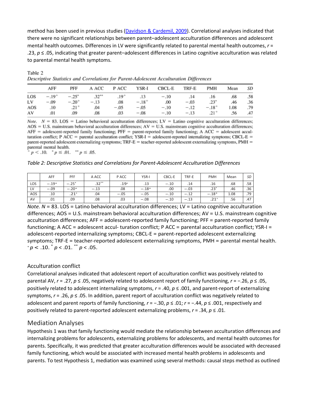method has been used in previous studies [\(Davidson & Cardemil, 2009\)](https://0-web-b-ebscohost-com.libus.csd.mu.edu/ehost/detail/detail?vid=2&sid=7e1faa1d-4cf9-4551-a23d-ec6b0f1ec874%40pdc-v-sessmgr04&bdata=JnNpdGU9ZWhvc3QtbGl2ZQ%3d%3d#c24). Correlational analyses indicated that there were no significant relationships between parent–adolescent acculturation differences and adolescent mental health outcomes. Differences in LV were significantly related to parental mental health outcomes, *r* = .23, *p* ≤ .05, indicating that greater parent–adolescent differences in Latino cognitive acculturation was related to parental mental health symptoms.

|     |         |          |          |           |         | Descriptive Statistics and Correlations for Parent-Adolescent Acculturation Differences |        |         |      |     |
|-----|---------|----------|----------|-----------|---------|-----------------------------------------------------------------------------------------|--------|---------|------|-----|
|     | AFF     | PFF      | A ACC    | P ACC     | YSR-I   | CBCL-E                                                                                  | TRF-E  | PMH     | Mean | SD  |
| LOS | $-.19+$ | $-.25"$  | $.32***$ | $.19^{+}$ | .13     | $-.10$                                                                                  | .14    | .16     | .68  | .58 |
| LV  | $-.09$  | $-.20^+$ | $-.13$   | .08       | $-.18+$ | .00                                                                                     | $-.03$ | $.23*$  | .46  | .36 |
| AOS | .10     | $.21 +$  | .04      | $-.05$    | $-.05$  | $-.10$                                                                                  | $-.12$ | $-.18+$ | 1.08 | .79 |
| AV  | .01     | .09      | 08       | .03       | $-.08$  | $-.10$                                                                                  | $-.13$ | $.21 +$ | .56  | .47 |

Table 2 Descriptive Statistics and Correlations for Parent Adolescent Acculturation Differences

*Note.*  $N = 83$ . LOS = Latino behavioral acculturation differences; LV = Latino cognitive acculturation differences;  $AOS = U.S.$  mainstream behavioral acculturation differences;  $AV = U.S.$  mainstream cognitive acculturation differences;  $AFF =$  adolescent-reported family functioning;  $PFF =$  parent-reported family functioning;  $A ACC =$  adolescent acculturation conflict; P ACC = parental acculturation conflict; YSR-I = adolescent-reported internalizing symptoms; CBCL-E = parent-reported adolescent externalizing symptoms; TRF-E = teacher-reported adolescent externalizing symptoms, PMH = parental mental health.

 $p < .10$ ,  $\degree p \le .01$ ,  $\degree \degree p \le .05$ .

#### *Table 2: Descriptive Statistics and Correlations for Parent-Adolescent Acculturation Differences*

|     | AFF     | PFF     | A ACC   | P ACC  | <b>YSR-I</b> | CBCL-E | TRF-E  | <b>PMH</b> | Mean | SD  |
|-----|---------|---------|---------|--------|--------------|--------|--------|------------|------|-----|
| LOS | $-.19+$ | $-.25*$ | $.32**$ | $.19+$ | .13          | $-.10$ | .14    | .16        | .68  | .58 |
| LV  | $-.09$  | $-.20+$ | $-.13$  | .08    | $-.18+$      | .00.   | $-.03$ | $.23*$     | .46  | .36 |
| AOS | .10     | $21+$   | .04     | $-.05$ | $-.05$       | $-.10$ | $-.12$ | $-.18+$    | 1.08 | .79 |
| AV  | .01     | .09     | .08     | .03    | $-.08$       | $-.10$ | $-.13$ | $.21+$     | .56  | .47 |

*Note. N* = 83. LOS = Latino behavioral acculturation differences; LV = Latino cognitive acculturation differences; AOS = U.S. mainstream behavioral acculturation differences; AV = U.S. mainstream cognitive acculturation differences; AFF = adolescent-reported family functioning; PFF = parent-reported family functioning; A ACC = adolescent accul- turation conflict; P ACC = parental acculturation conflict;  $YSR-I =$ adolescent-reported internalizing symptoms; CBCL-E = parent-reported adolescent externalizing symptoms; TRF-E = teacher-reported adolescent externalizing symptoms, PMH = parental mental health. <sup>+</sup>*p* < .10. \* *p* < .01. \*\* *p* < .05.

#### Acculturation conflict

Correlational analyses indicated that adolescent report of acculturation conflict was positively related to parental AV, *r* = .27, *p* ≤ .05, negatively related to adolescent report of family functioning, *r* = −.26, *p* ≤ .05, positively related to adolescent internalizing symptoms, *r* = .40, *p* ≤ .001, and parent-report of externalizing symptoms, *r* = .26, *p* ≤ .05. In addition, parent report of acculturation conflict was negatively related to adolescent and parent reports of family functioning, *r* = −.30, *p* ≤ .01; *r* = −.44, *p* ≤ .001, respectively and positively related to parent-reported adolescent externalizing problems, *r* = .34, *p* ≤ .01.

#### Mediation Analyses

Hypothesis 1 was that family functioning would mediate the relationship between acculturation differences and internalizing problems for adolescents, externalizing problems for adolescents, and mental health outcomes for parents. Specifically, it was predicted that greater acculturation differences would be associated with decreased family functioning, which would be associated with increased mental health problems in adolescents and parents. To test Hypothesis 1, mediation was examined using several methods: causal steps method as outlined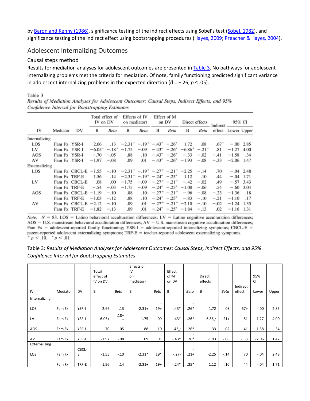by [Baron and Kenny \(1986\),](https://0-web-b-ebscohost-com.libus.csd.mu.edu/ehost/detail/detail?vid=2&sid=7e1faa1d-4cf9-4551-a23d-ec6b0f1ec874%40pdc-v-sessmgr04&bdata=JnNpdGU9ZWhvc3QtbGl2ZQ%3d%3d#c6) significance testing of the indirect effects using Sobel's test [\(Sobel, 1982\)](https://0-web-b-ebscohost-com.libus.csd.mu.edu/ehost/detail/detail?vid=2&sid=7e1faa1d-4cf9-4551-a23d-ec6b0f1ec874%40pdc-v-sessmgr04&bdata=JnNpdGU9ZWhvc3QtbGl2ZQ%3d%3d#c75), and significance testing of the indirect effect using bootstrapping procedures [\(Hayes, 2009;](https://0-web-b-ebscohost-com.libus.csd.mu.edu/ehost/detail/detail?vid=2&sid=7e1faa1d-4cf9-4551-a23d-ec6b0f1ec874%40pdc-v-sessmgr04&bdata=JnNpdGU9ZWhvc3QtbGl2ZQ%3d%3d#c35) [Preacher & Hayes, 2004\)](https://0-web-b-ebscohost-com.libus.csd.mu.edu/ehost/detail/detail?vid=2&sid=7e1faa1d-4cf9-4551-a23d-ec6b0f1ec874%40pdc-v-sessmgr04&bdata=JnNpdGU9ZWhvc3QtbGl2ZQ%3d%3d#c60).

#### Adolescent Internalizing Outcomes

#### Causal steps method

Results for mediation analyses for adolescent outcomes are presented in [Table 3.](https://0-web-b-ebscohost-com.libus.csd.mu.edu/ehost/detail/detail?vid=2&sid=7e1faa1d-4cf9-4551-a23d-ec6b0f1ec874%40pdc-v-sessmgr04&bdata=JnNpdGU9ZWhvc3QtbGl2ZQ%3d%3d#tbl3) No pathways for adolescent internalizing problems met the criteria for mediation. Of note, family functioning predicted significant variance in adolescent internalizing problems in the expected direction (*β = −*.26, *p* ≤ .05).

#### Table 3

Results of Mediation Analyses for Adolescent Outcomes: Causal Steps, Indirect Effects, and 95% Confidence Interval for Bootstrapping Estimates

|               |              |                                                                                                                  | Total effect of<br>IV on DV |        | Effects of IV<br>on mediator)                                                                                |        |                                                | Effect of M<br>on DV     | Direct effects                        |        | Indirect           | 95% CI            |             |
|---------------|--------------|------------------------------------------------------------------------------------------------------------------|-----------------------------|--------|--------------------------------------------------------------------------------------------------------------|--------|------------------------------------------------|--------------------------|---------------------------------------|--------|--------------------|-------------------|-------------|
| IV            | Mediator     | DV                                                                                                               | В                           | Beta   | В                                                                                                            | Beta   | В                                              | Beta                     | В                                     | Beta   | effect Lower Upper |                   |             |
| Internalizing |              |                                                                                                                  |                             |        |                                                                                                              |        |                                                |                          |                                       |        |                    |                   |             |
| LOS           | Fam Fx YSR-I |                                                                                                                  | 2.66                        |        | $-13$ $-2.31^{+}$ $-19^{+}$ $-43^{*}$ $-26^{*}$ 1.72                                                         |        |                                                |                          |                                       | .08    |                    | $.67^+$ -.00 2.85 |             |
| LV            | Fam Fx YSR-I |                                                                                                                  |                             |        | $-6.05^{+}$ - $18^{+}$ - 1.75 - 09 - 43 <sup>*</sup> - 26 <sup>*</sup> - 6.86 <sup>+</sup> - 21 <sup>+</sup> |        |                                                |                          |                                       |        | .81                | $-1.27$ 4.00      |             |
| AOS           | Fam Fx YSR-I |                                                                                                                  | $-.70$                      | $-.05$ | .88                                                                                                          |        |                                                |                          | $.10 - .43^* - .26^* - .33 - .02$     |        | $-.41$             | $-1.58$           | .34         |
| AV            | Fam Fx YSR-I |                                                                                                                  | $-1.97$                     | $-.08$ | .09                                                                                                          | .01    |                                                |                          | $-.43^*$ $-.26^*$ $-1.93$             | $-.08$ | $-.33$             | $-2.06$ 1.47      |             |
| Externalizing |              |                                                                                                                  |                             |        |                                                                                                              |        |                                                |                          |                                       |        |                    |                   |             |
| LOS           |              | Fam Fx CBCL-E $-1.55$ - $10$ -2.31 <sup>+</sup> -.19 <sup>+</sup> -.27 <sup>+</sup> -.21 <sup>+</sup> -2.25 -.14 |                             |        |                                                                                                              |        |                                                |                          |                                       |        | .70                |                   | $-.04$ 2.48 |
|               | Fam Fx TRF-E |                                                                                                                  | 1.56                        | .14    | $-2.31^{+}$ $-.19^{+}$ $-.24^{+}$ $-.25^{+}$                                                                 |        |                                                |                          | 1.12                                  | .10    | .44                |                   | $-.04$ 1.71 |
| LV            |              | Fam Fx CBCL-E                                                                                                    | .08                         | .00    | $-1.75$                                                                                                      |        | $-.09$ $-.27$ <sup>+</sup> $-.21$ <sup>+</sup> |                          | $-.42$                                | $-.02$ | .49                |                   | $-.57$ 3.43 |
|               | Fam Fx TRF-E |                                                                                                                  | $-.54$                      | $-.03$ | $-1.75$                                                                                                      | $-.09$ |                                                |                          | $-.24^* - .25^* - 1.08$               | $-.06$ | .54                |                   | $-.60$ 3.04 |
| AOS           |              | Fam Fx CBCL-E                                                                                                    | $-1.19$                     | $-.10$ | .88                                                                                                          | .10    |                                                |                          | $-.27^+ - .21^+ - .96$                | $-.08$ | $-.23$             | $-1.36$           | .18         |
|               | Fam Fx TRF-E |                                                                                                                  | $-1.03$                     | $-.12$ | .88                                                                                                          | .10    |                                                | $-.24^*$ $-.25^*$ $-.83$ |                                       | $-.10$ | $-.21$             | $-1.10$           | .17         |
| AV            |              | Fam Fx CBCL-E $-2.12$                                                                                            |                             | $-.10$ | .09                                                                                                          | .01    |                                                |                          | $-.27^{\circ}$ $-.21^{\circ}$ $-2.10$ | $-.10$ | $-.02$             | $-1.24$           | 1.35        |
|               | Fam Fx TRF-E |                                                                                                                  | $-1.82$                     | $-.13$ | .09                                                                                                          | .01    |                                                |                          | $-.24^* - .25^* - 1.84$               | $-.13$ | .02                | $-1.16$ 1.31      |             |

Note.  $N = 83$ . LOS = Latino behavioral acculturation differences; LV = Latino cognitive acculturation differences;  $AOS = U.S.$  mainstream behavioral acculturation differences;  $AV = U.S.$  mainstream cognitive acculturation differences; Fam Fx = adolescent-reported family functioning; YSR-I = adolescent-reported internalizing symptoms; CBCL-E = parent-reported adolescent externalizing symptoms; TRF-E = teacher-reported adolescent externalizing symptoms.  $p < .10$ ,  $p \le .01$ .

Table 3: *Results of Mediation Analyses for Adolescent Outcomes: Causal Steps, Indirect Effects, and 95% Confidence Interval for Bootstrapping Estimates*

|               |          |           |           |                          | Effects of |                          |                 |                          |               |                          |          |           |       |
|---------------|----------|-----------|-----------|--------------------------|------------|--------------------------|-----------------|--------------------------|---------------|--------------------------|----------|-----------|-------|
|               |          |           | Total     |                          | IV         |                          | Effect          |                          |               |                          |          |           |       |
|               |          |           | effect of |                          | on         |                          | of M            |                          | <b>Direct</b> |                          |          | 95%       |       |
|               |          |           | IV on DV  |                          | mediator)  |                          | on DV           |                          | effects       |                          |          | <b>CI</b> |       |
|               |          |           |           |                          |            |                          |                 |                          |               |                          | Indirect |           |       |
| IV            | Mediator | <b>DV</b> | В         | <b>Beta</b>              | B          | Beta                     | B               | <b>Beta</b>              | B             | <b>Beta</b>              | effect   | Lower     | Upper |
| Internalizing |          |           |           |                          |            |                          |                 |                          |               |                          |          |           |       |
|               |          |           |           |                          |            | $\overline{\phantom{0}}$ |                 | $\overline{\phantom{a}}$ |               |                          |          |           |       |
| LOS           | Fam Fx   | YSR-I     | 2.66      | .13                      | $-2.31+$   | $.19+$                   | $-.43*$         | $.26*$                   | 1.72          | $-0.08$                  | $.67+$   | $-.00$    | 2.85  |
|               |          |           |           | $-18+$                   |            |                          |                 | $\overline{\phantom{a}}$ |               | $\overline{\phantom{a}}$ |          |           |       |
| LV            | Fam Fx   | YSR-I     | $-6.05+$  | $\overline{\phantom{a}}$ | $-1.75$    | $-.09$                   | $-.43*$         | $.26*$                   | $-6.86*$      | $.21+$                   | .81      | $-1.27$   | 4.00  |
|               |          |           |           |                          |            |                          |                 | $\overline{\phantom{a}}$ |               |                          |          |           |       |
| AOS           | Fam Fx   | YSR-I     | $-.70$    | $-.05$                   | .88        | .10                      | $-.43$ $_{-}$ * | $.26*$                   | $-.33$        | $-.02$                   | $-.41$   | $-1.58$   | .34   |
|               |          |           |           |                          |            |                          |                 | $\overline{\phantom{a}}$ |               |                          |          |           |       |
| AV            | Fam Fx   | YSR-I     | $-1.97$   | $-.08$                   | .09        | .01                      | $-.43*$         | $.26*$                   | $-1.93$       | $-0.08$                  | $-.33$   | $-2.06$   | 1.47  |
| Externalizing |          |           |           |                          |            |                          |                 |                          |               |                          |          |           |       |
|               |          | CBCL-     |           |                          |            | $\overline{\phantom{a}}$ |                 | $\overline{\phantom{a}}$ |               |                          |          |           |       |
| <b>LOS</b>    | Fam Fx   | E         | $-1.55$   | $-.10$                   | $-2.31*$   | .19*                     | $-.27-$         | $.21+$                   | $-2.25$       | $-.14$                   | .70      | $-.04$    | 2.48  |
|               |          |           |           |                          |            | $\overline{\phantom{0}}$ |                 | $\overline{\phantom{a}}$ |               |                          |          |           |       |
|               | Fam Fx   | TRF-E     | 1.56      | .14                      | $-2.31+$   | $.19+$                   | $-.24*$         | .25*                     | 1.12          | .10                      | .44      | $-.04$    | 1.71  |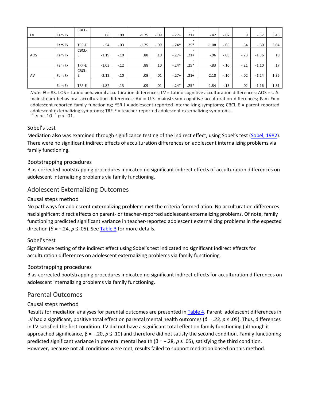|     |        | CBCL- |         |        |         |         |         |                          |         |         |        |         |      |
|-----|--------|-------|---------|--------|---------|---------|---------|--------------------------|---------|---------|--------|---------|------|
| LV  | Fam Fx | E     | .08     | .00    | $-1.75$ | $-0.09$ | $-.27+$ | $.21+$                   | $-.42$  | $-.02$  | 9      | $-.57$  | 3.43 |
|     |        |       |         |        |         |         |         |                          |         |         |        |         |      |
|     | Fam Fx | TRF-E | $-.54$  | $-.03$ | $-1.75$ | $-0.09$ | $-.24*$ | $.25*$                   | $-1.08$ | $-0.06$ | .54    | $-.60$  | 3.04 |
|     |        | CBCL- |         |        |         |         |         |                          |         |         |        |         |      |
| AOS | Fam Fx | Ε     | $-1.19$ | $-.10$ | .88     | .10     | $-.27+$ | $.21+$                   | $-.96$  | $-.08$  | $-.23$ | $-1.36$ | .18  |
|     |        |       |         |        |         |         |         | $\overline{\phantom{0}}$ |         |         |        |         |      |
|     | Fam Fx | TRF-E | $-1.03$ | $-.12$ | .88     | .10     | $-.24*$ | $.25*$                   | $-.83$  | $-.10$  | $-.21$ | $-1.10$ | .17  |
|     |        | CBCL- |         |        |         |         |         | $\overline{\phantom{0}}$ |         |         |        |         |      |
| AV  | Fam Fx | E     | $-2.12$ | $-.10$ | .09     | .01     | $-.27+$ | $.21+$                   | $-2.10$ | $-.10$  | $-.02$ | $-1.24$ | 1.35 |
|     |        |       |         |        |         |         |         | $\overline{\phantom{0}}$ |         |         |        |         |      |
|     | Fam Fx | TRF-E | $-1.82$ | $-.13$ | .09     | .01     | $-.24*$ | $.25*$                   | $-1.84$ | $-.13$  | .02    | $-1.16$ | 1.31 |

*Note. N* = 83. LOS = Latino behavioral acculturation differences; LV = Latino cognitive acculturation differences; AOS = U.S. mainstream behavioral acculturation differences;  $AV = U.S.$  mainstream cognitive acculturation differences; Fam Fx = adolescent-reported family functioning; YSR-I = adolescent-reported internalizing symptoms; CBCL-E = parent-reported adolescent externalizing symptoms; TRF-E = teacher-reported adolescent externalizing symptoms. <sup>+</sup>*p* < .10. \* *<sup>p</sup>*< .01.

Sobel's test

Mediation also was examined through significance testing of the indirect effect, using Sobel's test [\(Sobel, 1982\)](https://0-web-b-ebscohost-com.libus.csd.mu.edu/ehost/detail/detail?vid=2&sid=7e1faa1d-4cf9-4551-a23d-ec6b0f1ec874%40pdc-v-sessmgr04&bdata=JnNpdGU9ZWhvc3QtbGl2ZQ%3d%3d#c75). There were no significant indirect effects of acculturation differences on adolescent internalizing problems via family functioning.

#### Bootstrapping procedures

Bias-corrected bootstrapping procedures indicated no significant indirect effects of acculturation differences on adolescent internalizing problems via family functioning.

#### Adolescent Externalizing Outcomes

#### Causal steps method

No pathways for adolescent externalizing problems met the criteria for mediation. No acculturation differences had significant direct effects on parent- or teacher-reported adolescent externalizing problems. Of note, family functioning predicted significant variance in teacher-reported adolescent externalizing problems in the expected direction (*β = −*.24, *p* ≤ .05). See [Table 3](https://0-web-b-ebscohost-com.libus.csd.mu.edu/ehost/detail/detail?vid=2&sid=7e1faa1d-4cf9-4551-a23d-ec6b0f1ec874%40pdc-v-sessmgr04&bdata=JnNpdGU9ZWhvc3QtbGl2ZQ%3d%3d#tbl3) for more details.

#### Sobel's test

Significance testing of the indirect effect using Sobel's test indicated no significant indirect effects for acculturation differences on adolescent externalizing problems via family functioning.

#### Bootstrapping procedures

Bias-corrected bootstrapping procedures indicated no significant indirect effects for acculturation differences on adolescent internalizing problems via family functioning.

#### Parental Outcomes

#### Causal steps method

Results for mediation analyses for parental outcomes are presented in [Table 4.](https://0-web-b-ebscohost-com.libus.csd.mu.edu/ehost/detail/detail?vid=2&sid=7e1faa1d-4cf9-4551-a23d-ec6b0f1ec874%40pdc-v-sessmgr04&bdata=JnNpdGU9ZWhvc3QtbGl2ZQ%3d%3d#tbl4) Parent–adolescent differences in LV had a significant, positive total effect on parental mental health outcomes (*β = .23, p* ≤ .05). Thus, differences in LV satisfied the first condition. LV did not have a significant total effect on family functioning (although it approached significance, β = −.20, *p* ≤ .10) and therefore did not satisfy the second condition. Family functioning predicted significant variance in parental mental health (β = −.28, *p* ≤ .05), satisfying the third condition. However, because not all conditions were met, results failed to support mediation based on this method.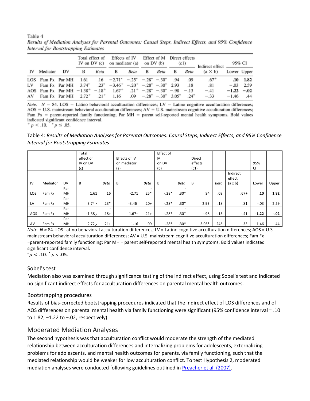Table 4 Results of Mediation Analyses for Parental Outcomes: Causal Steps, Indirect Effects, and 95% Confidence **Interval for Bootstrapping Estimates** 

|    |                                                                                                   |    | Total effect of |           |                                               | Effects of IV<br>IV on $DV(c)$ on mediator $(a)$           |   | on DV (b) | Effect of M Direct effects | (c1)          | Indirect effect | 95% CI         |                  |
|----|---------------------------------------------------------------------------------------------------|----|-----------------|-----------|-----------------------------------------------|------------------------------------------------------------|---|-----------|----------------------------|---------------|-----------------|----------------|------------------|
| IV | Mediator                                                                                          | DV | в               | Beta      | в                                             | Beta                                                       | в | Beta      | в                          | Beta          | $(a \times b)$  | Lower Upper    |                  |
|    | LOS Fam Fx Par MH                                                                                 |    |                 |           | 1.61 .16 $-2.71^*$ $-.25^*$ $-.28^*$ $-.30^*$ |                                                            |   |           | .94                        | .09           | $.67^\circ$     |                | $.10 \quad 1.82$ |
| LV | Fam Fx Par MH $3.74^*$ $.23^*$ $-3.46^+$ $-0.20^*$ $-0.28^*$ $-0.30^*$ 2.93                       |    |                 |           |                                               |                                                            |   |           |                            | .18           | .81             |                | $-.03$ 2.59      |
|    | AOS Fam Fx Par MH $-1.38^{+}$ $-.18^{+}$ $1.67^{+}$ $.21^{+}$ $-.28^{+}$ $-.30^{+}$ $-.98$ $-.13$ |    |                 |           |                                               |                                                            |   |           |                            |               | $-.41$          | $-1.22 - 0.02$ |                  |
|    | $AV$ Fam Fx Par MH $2.72^+$                                                                       |    |                 | $.21^{+}$ |                                               | $1.16$ .09 $-.28^{\circ}$ $-.30^{\circ}$ 3.05 <sup>*</sup> |   |           |                            | $.24^{\circ}$ | $-.33$          | $-1.46$        | .44              |

Note.  $N = 84$ . LOS = Latino behavioral acculturation differences; LV = Latino cognitive acculturation differences;  $AOS = U.S.$  mainstream behavioral acculturation differences;  $AV = U.S.$  mainstream cognitive acculturation differences; Fam  $Fx = parent-reported family functioning$ ; Par MH = parent self-reported mental health symptoms. Bold values indicated significant confidence interval.

 $p < .10.$   $p \le .05.$ 

Table 4: *Results of Mediation Analyses for Parental Outcomes: Causal Steps, Indirect Effects, and 95% Confidence Interval for Bootstrapping Estimates*

|            |          |                  | Total<br>effect of<br>IV on DV<br>(c) |                                    | Effects of IV<br>on mediator<br>(a) |                                    | Effect of<br>M<br>on DV<br>(b) |                                    | <b>Direct</b><br>effects<br>(c1) |        |                                      | 95%<br>CI |        |
|------------|----------|------------------|---------------------------------------|------------------------------------|-------------------------------------|------------------------------------|--------------------------------|------------------------------------|----------------------------------|--------|--------------------------------------|-----------|--------|
| IV         | Mediator | DV               | В                                     | Beta                               | B                                   | Beta                               | В                              | Beta                               | В                                | Beta   | Indirect<br>effect<br>$(a \times b)$ | Lower     | Upper  |
| <b>LOS</b> | Fam Fx   | Par<br><b>MH</b> | 1.61                                  | .16                                | $-2.71$                             | $\overline{\phantom{a}}$<br>$.25*$ | $-.28*$                        | $\overline{\phantom{a}}$<br>.30*   | .94                              | .09    | $.67+$                               | .10       | 1.82   |
| LV         | Fam Fx   | Par<br><b>MH</b> | $3.74 \cdot$                          | $.23*$                             | $-3.46$                             | $\overline{\phantom{a}}$<br>$.20+$ | $-.28*$                        | $\overline{\phantom{0}}$<br>$.30*$ | 2.93                             | .18    | .81                                  | $-.03$    | 2.59   |
| AOS        | Fam Fx   | Par<br><b>MH</b> | $-1.38 +$                             | $\overline{\phantom{0}}$<br>$.18+$ | $1.67+$                             | $.21+$                             | $-.28*$                        | $\overline{\phantom{0}}$<br>$.30*$ | $-.98$                           | $-.13$ | $-.41$                               | $-1.22$   | $-.02$ |
| AV         | Fam Fx   | Par<br><b>MH</b> | $2.72 +$                              | $.21+$                             | 1.16                                | .09                                | $-.28*$                        | $\overline{\phantom{0}}$<br>$.30*$ | $3.05*$                          | $.24*$ | $-.33$                               | $-1.46$   | .44    |

*Note. N* = 84. LOS Latino behavioral acculturation differences; LV = Latino cognitive acculturation differences; AOS = U.S. mainstream behavioral acculturation differences; AV = U.S. mainstream cognitive acculturation differences; Fam Fx =parent-reported family functioning; Par MH = parent self-reported mental health symptoms. Bold values indicated significant confidence interval.

 $+p < .10.^{\circ} p < .05.$ 

#### Sobel's test

Mediation also was examined through significance testing of the indirect effect, using Sobel's test and indicated no significant indirect effects for acculturation differences on parental mental health outcomes.

#### Bootstrapping procedures

Results of bias-corrected bootstrapping procedures indicated that the indirect effect of LOS differences and of AOS differences on parental mental health via family functioning were significant (95% confidence interval = .10 to 1.82; −1.22 to −.02, respectively).

#### Moderated Mediation Analyses

The second hypothesis was that acculturation conflict would moderate the strength of the mediated relationship between acculturation differences and internalizing problems for adolescents, externalizing problems for adolescents, and mental health outcomes for parents, via family functioning, such that the mediated relationship would be weaker for low acculturation conflict. To test Hypothesis 2, moderated mediation analyses were conducted following guidelines outlined in [Preacher et al. \(2007\).](https://0-web-b-ebscohost-com.libus.csd.mu.edu/ehost/detail/detail?vid=2&sid=7e1faa1d-4cf9-4551-a23d-ec6b0f1ec874%40pdc-v-sessmgr04&bdata=JnNpdGU9ZWhvc3QtbGl2ZQ%3d%3d#c61)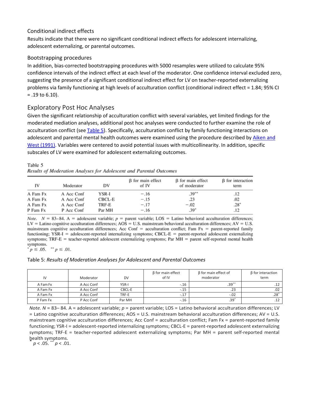#### Conditional indirect effects

Results indicate that there were no significant conditional indirect effects for adolescent internalizing, adolescent externalizing, or parental outcomes.

#### Bootstrapping procedures

In addition, bias-corrected bootstrapping procedures with 5000 resamples were utilized to calculate 95% confidence intervals of the indirect effect at each level of the moderator. One confidence interval excluded zero, suggesting the presence of a significant conditional indirect effect for LV on teacher-reported externalizing problems via family functioning at high levels of acculturation conflict (conditional indirect effect = 1.84; 95% CI = .19 to 6.10).

#### Exploratory Post Hoc Analyses

Given the significant relationship of acculturation conflict with several variables, yet limited findings for the moderated mediation analyses, additional post hoc analyses were conducted to further examine the role of acculturation conflict (see [Table 5\)](https://0-web-b-ebscohost-com.libus.csd.mu.edu/ehost/detail/detail?vid=2&sid=7e1faa1d-4cf9-4551-a23d-ec6b0f1ec874%40pdc-v-sessmgr04&bdata=JnNpdGU9ZWhvc3QtbGl2ZQ%3d%3d#tbl5). Specifically, acculturation conflict by family functioning interactions on adolescent and parental mental health outcomes were examined using the procedure described by [Aiken and](https://0-web-b-ebscohost-com.libus.csd.mu.edu/ehost/detail/detail?vid=2&sid=7e1faa1d-4cf9-4551-a23d-ec6b0f1ec874%40pdc-v-sessmgr04&bdata=JnNpdGU9ZWhvc3QtbGl2ZQ%3d%3d#c2)  [West \(1991\).](https://0-web-b-ebscohost-com.libus.csd.mu.edu/ehost/detail/detail?vid=2&sid=7e1faa1d-4cf9-4551-a23d-ec6b0f1ec874%40pdc-v-sessmgr04&bdata=JnNpdGU9ZWhvc3QtbGl2ZQ%3d%3d#c2) Variables were centered to avoid potential issues with multicollinearity. In addition, specific subscales of LV were examined for adolescent externalizing outcomes.

Table 5

| Results of Moderation Analyses for Adolescent and Parental Outcomes |  |  |  |
|---------------------------------------------------------------------|--|--|--|
|                                                                     |  |  |  |

| IV       | Moderator  | DV     | <b>B</b> for main effect<br>of IV | <b>B</b> for main effect<br>of moderator | β for interaction<br>term |
|----------|------------|--------|-----------------------------------|------------------------------------------|---------------------------|
| A Fam Fx | A Acc Conf | YSR-I  | $-.16$                            | $.39***$                                 | .12                       |
| A Fam Fx | A Acc Conf | CBCL-E | $-.15$                            | .23                                      | .02                       |
| A Fam Fx | A Acc Conf | TRF-E  | $-.17$                            | $-.02$                                   | $.28*$                    |
| P Fam Fx | P Acc Conf | Par MH | $-.16$                            | $.39*$                                   | .12                       |

*Note.*  $N = 83-84$ . A = adolescent variable;  $p =$  parent variable; LOS = Latino behavioral acculturation differences;  $LV =$  Latino cognitive acculturation differences;  $AOS = U.S.$  mainstream behavioral acculturation differences;  $AV = U.S.$ mainstream cognitive acculturation differences; Acc Conf = acculturation conflict; Fam  $Fx =$  parent-reported family functioning;  $YSR-I$  = adolescent-reported internalizing symptoms;  $CBCL-E$  = parent-reported adolescent externalizing symptoms; TRF-E = teacher-reported adolescent externalizing symptoms; Par MH = parent self-reported mental health symptoms.

 $p \leq .05$ ,  $p \leq .01$ .

#### Table 5: *Results of Moderation Analyses for Adolescent and Parental Outcomes*

| IV       | Moderator  | <b>DV</b>    | $\beta$ for main effect<br>of IV | $\beta$ for main effect of<br>moderator | $\beta$ for interaction<br>term |
|----------|------------|--------------|----------------------------------|-----------------------------------------|---------------------------------|
| A Fam Fx | A Acc Conf | <b>YSR-I</b> | $-.16$                           | $.39***$                                |                                 |
| A Fam Fx | A Acc Conf | CBCL-E       | -.15                             | .23                                     | .02                             |
| A Fam Fx | A Acc Conf | TRF-E        | $-.17$                           | $-.02$                                  | $.28*$                          |
| P Fam Fx | P Acc Conf | Par MH       | $-.16$                           | $.39*$                                  |                                 |

*Note. N* = 83–84. A = adolescent variable; *p* = parent variable; LOS = Latino behavioral acculturation differences; LV = Latino cognitive acculturation differences; AOS = U.S. mainstream behavioral acculturation differences; AV = U.S. mainstream cognitive acculturation differences; Acc Conf = acculturation conflict; Fam Fx = parent-reported family functioning; YSR-I = adolescent-reported internalizing symptoms; CBCL-E = parent-reported adolescent externalizing symptoms; TRF-E = teacher-reported adolescent externalizing symptoms; Par MH = parent self-reported mental health symptoms. \* *p* < .05. \*\* *<sup>p</sup>*< .01.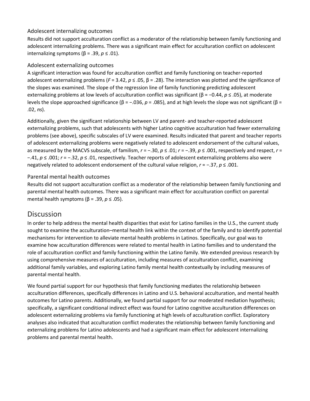#### Adolescent internalizing outcomes

Results did not support acculturation conflict as a moderator of the relationship between family functioning and adolescent internalizing problems. There was a significant main effect for acculturation conflict on adolescent internalizing symptoms (β = .39, *p* ≤ .01).

#### Adolescent externalizing outcomes

A significant interaction was found for acculturation conflict and family functioning on teacher-reported adolescent externalizing problems (*F* = 3.42, *p* ≤ .05, β = .28). The interaction was plotted and the significance of the slopes was examined. The slope of the regression line of family functioning predicting adolescent externalizing problems at low levels of acculturation conflict was significant (β = −0.44, *p* ≤ .05), at moderate levels the slope approached significance (β = −.036, *p* = .085), and at high levels the slope was not significant (β = .02, *ns*).

Additionally, given the significant relationship between LV and parent- and teacher-reported adolescent externalizing problems, such that adolescents with higher Latino cognitive acculturation had fewer externalizing problems (see above), specific subscales of LV were examined. Results indicated that parent and teacher reports of adolescent externalizing problems were negatively related to adolescent endorsement of the cultural values, as measured by the MACVS subscale, of familism, *r* = −.30, *p* ≤ .01; *r* = −.39, *p* ≤ .001, respectively and respect, *r* = −.41, *p* ≤ .001; *r* = −.32, *p* ≤ .01, respectively. Teacher reports of adolescent externalizing problems also were negatively related to adolescent endorsement of the cultural value religion, *r* = −.37, *p* ≤ .001.

#### Parental mental health outcomes

Results did not support acculturation conflict as a moderator of the relationship between family functioning and parental mental health outcomes. There was a significant main effect for acculturation conflict on parental mental health symptoms (β = .39, *p* ≤ .05).

# **[Discussion](https://0-web-b-ebscohost-com.libus.csd.mu.edu/ehost/detail/detail?vid=2&sid=7e1faa1d-4cf9-4551-a23d-ec6b0f1ec874%40pdc-v-sessmgr04&bdata=JnNpdGU9ZWhvc3QtbGl2ZQ%3d%3d#toc)**

In order to help address the mental health disparities that exist for Latino families in the U.S., the current study sought to examine the acculturation–mental health link within the context of the family and to identify potential mechanisms for intervention to alleviate mental health problems in Latinos. Specifically, our goal was to examine how acculturation differences were related to mental health in Latino families and to understand the role of acculturation conflict and family functioning within the Latino family. We extended previous research by using comprehensive measures of acculturation, including measures of acculturation conflict, examining additional family variables, and exploring Latino family mental health contextually by including measures of parental mental health.

We found partial support for our hypothesis that family functioning mediates the relationship between acculturation differences, specifically differences in Latino and U.S. behavioral acculturation, and mental health outcomes for Latino parents. Additionally, we found partial support for our moderated mediation hypothesis; specifically, a significant conditional indirect effect was found for Latino cognitive acculturation differences on adolescent externalizing problems via family functioning at high levels of acculturation conflict. Exploratory analyses also indicated that acculturation conflict moderates the relationship between family functioning and externalizing problems for Latino adolescents and had a significant main effect for adolescent internalizing problems and parental mental health.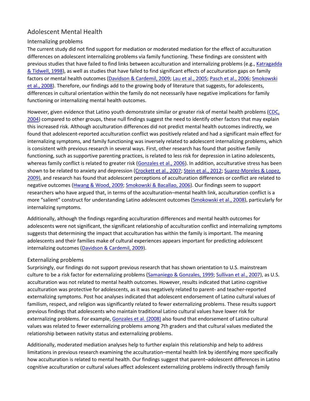#### Adolescent Mental Health

#### Internalizing problems

The current study did not find support for mediation or moderated mediation for the effect of acculturation differences on adolescent internalizing problems via family functioning. These findings are consistent with previous studies that have failed to find links between acculturation and internalizing problems (e.g., Katragadda [& Tidwell, 1998\)](https://0-web-b-ebscohost-com.libus.csd.mu.edu/ehost/detail/detail?vid=2&sid=7e1faa1d-4cf9-4551-a23d-ec6b0f1ec874%40pdc-v-sessmgr04&bdata=JnNpdGU9ZWhvc3QtbGl2ZQ%3d%3d#c39), as well as studies that have failed to find significant effects of acculturation gaps on family factors or mental health outcomes [\(Davidson & Cardemil, 2009;](https://0-web-b-ebscohost-com.libus.csd.mu.edu/ehost/detail/detail?vid=2&sid=7e1faa1d-4cf9-4551-a23d-ec6b0f1ec874%40pdc-v-sessmgr04&bdata=JnNpdGU9ZWhvc3QtbGl2ZQ%3d%3d#c24) [Lau et al., 2005;](https://0-web-b-ebscohost-com.libus.csd.mu.edu/ehost/detail/detail?vid=2&sid=7e1faa1d-4cf9-4551-a23d-ec6b0f1ec874%40pdc-v-sessmgr04&bdata=JnNpdGU9ZWhvc3QtbGl2ZQ%3d%3d#c43) [Pasch et al., 2006;](https://0-web-b-ebscohost-com.libus.csd.mu.edu/ehost/detail/detail?vid=2&sid=7e1faa1d-4cf9-4551-a23d-ec6b0f1ec874%40pdc-v-sessmgr04&bdata=JnNpdGU9ZWhvc3QtbGl2ZQ%3d%3d#c59) [Smokowski](https://0-web-b-ebscohost-com.libus.csd.mu.edu/ehost/detail/detail?vid=2&sid=7e1faa1d-4cf9-4551-a23d-ec6b0f1ec874%40pdc-v-sessmgr04&bdata=JnNpdGU9ZWhvc3QtbGl2ZQ%3d%3d#c73)  [et al., 2008\)](https://0-web-b-ebscohost-com.libus.csd.mu.edu/ehost/detail/detail?vid=2&sid=7e1faa1d-4cf9-4551-a23d-ec6b0f1ec874%40pdc-v-sessmgr04&bdata=JnNpdGU9ZWhvc3QtbGl2ZQ%3d%3d#c73). Therefore, our findings add to the growing body of literature that suggests, for adolescents, differences in cultural orientation within the family do not necessarily have negative implications for family functioning or internalizing mental health outcomes.

However, given evidence that Latino youth demonstrate similar or greater risk of mental health problems [\(CDC,](https://0-web-b-ebscohost-com.libus.csd.mu.edu/ehost/detail/detail?vid=2&sid=7e1faa1d-4cf9-4551-a23d-ec6b0f1ec874%40pdc-v-sessmgr04&bdata=JnNpdGU9ZWhvc3QtbGl2ZQ%3d%3d#c17)  [2004\)](https://0-web-b-ebscohost-com.libus.csd.mu.edu/ehost/detail/detail?vid=2&sid=7e1faa1d-4cf9-4551-a23d-ec6b0f1ec874%40pdc-v-sessmgr04&bdata=JnNpdGU9ZWhvc3QtbGl2ZQ%3d%3d#c17) compared to other groups, these null findings suggest the need to identify other factors that may explain this increased risk. Although acculturation differences did not predict mental health outcomes indirectly, we found that adolescent-reported acculturation conflict was positively related and had a significant main effect for internalizing symptoms, and family functioning was inversely related to adolescent internalizing problems, which is consistent with previous research in several ways. First, other research has found that positive family functioning, such as supportive parenting practices, is related to less risk for depression in Latino adolescents, whereas family conflict is related to greater risk [\(Gonzales et al., 2006\)](https://0-web-b-ebscohost-com.libus.csd.mu.edu/ehost/detail/detail?vid=2&sid=7e1faa1d-4cf9-4551-a23d-ec6b0f1ec874%40pdc-v-sessmgr04&bdata=JnNpdGU9ZWhvc3QtbGl2ZQ%3d%3d#c31). In addition, acculturative stress has been shown to be related to anxiety and depression [\(Crockett et al., 2007;](https://0-web-b-ebscohost-com.libus.csd.mu.edu/ehost/detail/detail?vid=2&sid=7e1faa1d-4cf9-4551-a23d-ec6b0f1ec874%40pdc-v-sessmgr04&bdata=JnNpdGU9ZWhvc3QtbGl2ZQ%3d%3d#c21) [Stein et al., 2012;](https://0-web-b-ebscohost-com.libus.csd.mu.edu/ehost/detail/detail?vid=2&sid=7e1faa1d-4cf9-4551-a23d-ec6b0f1ec874%40pdc-v-sessmgr04&bdata=JnNpdGU9ZWhvc3QtbGl2ZQ%3d%3d#c76) Suarez-Moreles & Lopez, [2009\)](https://0-web-b-ebscohost-com.libus.csd.mu.edu/ehost/detail/detail?vid=2&sid=7e1faa1d-4cf9-4551-a23d-ec6b0f1ec874%40pdc-v-sessmgr04&bdata=JnNpdGU9ZWhvc3QtbGl2ZQ%3d%3d#c77), and research has found that adolescent perceptions of acculturation differences or conflict are related to negative outcomes [\(Hwang & Wood, 2009;](https://0-web-b-ebscohost-com.libus.csd.mu.edu/ehost/detail/detail?vid=2&sid=7e1faa1d-4cf9-4551-a23d-ec6b0f1ec874%40pdc-v-sessmgr04&bdata=JnNpdGU9ZWhvc3QtbGl2ZQ%3d%3d#c37) [Smokowski & Bacallao, 2006\)](https://0-web-b-ebscohost-com.libus.csd.mu.edu/ehost/detail/detail?vid=2&sid=7e1faa1d-4cf9-4551-a23d-ec6b0f1ec874%40pdc-v-sessmgr04&bdata=JnNpdGU9ZWhvc3QtbGl2ZQ%3d%3d#c71). Our findings seem to support researchers who have argued that, in terms of the acculturation–mental health link, acculturation conflict is a more "salient" construct for understanding Latino adolescent outcomes [\(Smokowski et al., 2008\)](https://0-web-b-ebscohost-com.libus.csd.mu.edu/ehost/detail/detail?vid=2&sid=7e1faa1d-4cf9-4551-a23d-ec6b0f1ec874%40pdc-v-sessmgr04&bdata=JnNpdGU9ZWhvc3QtbGl2ZQ%3d%3d#c73), particularly for internalizing symptoms.

Additionally, although the findings regarding acculturation differences and mental health outcomes for adolescents were not significant, the significant relationship of acculturation conflict and internalizing symptoms suggests that determining the impact that acculturation has within the family is important. The meaning adolescents and their families make of cultural experiences appears important for predicting adolescent internalizing outcomes [\(Davidson & Cardemil, 2009\)](https://0-web-b-ebscohost-com.libus.csd.mu.edu/ehost/detail/detail?vid=2&sid=7e1faa1d-4cf9-4551-a23d-ec6b0f1ec874%40pdc-v-sessmgr04&bdata=JnNpdGU9ZWhvc3QtbGl2ZQ%3d%3d#c24).

#### Externalizing problems

Surprisingly, our findings do not support previous research that has shown orientation to U.S. mainstream culture to be a risk factor for externalizing problems [\(Samaniego & Gonzales, 1999;](https://0-web-b-ebscohost-com.libus.csd.mu.edu/ehost/detail/detail?vid=2&sid=7e1faa1d-4cf9-4551-a23d-ec6b0f1ec874%40pdc-v-sessmgr04&bdata=JnNpdGU9ZWhvc3QtbGl2ZQ%3d%3d#c66) [Sullivan et al., 2007\)](https://0-web-b-ebscohost-com.libus.csd.mu.edu/ehost/detail/detail?vid=2&sid=7e1faa1d-4cf9-4551-a23d-ec6b0f1ec874%40pdc-v-sessmgr04&bdata=JnNpdGU9ZWhvc3QtbGl2ZQ%3d%3d#c78), as U.S. acculturation was not related to mental health outcomes. However, results indicated that Latino cognitive acculturation was protective for adolescents, as it was negatively related to parent- and teacher-reported externalizing symptoms. Post hoc analyses indicated that adolescent endorsement of Latino cultural values of familism, respect, and religion was significantly related to fewer externalizing problems. These results support previous findings that adolescents who maintain traditional Latino cultural values have lower risk for externalizing problems. For example, [Gonzales et al. \(2008\)](https://0-web-b-ebscohost-com.libus.csd.mu.edu/ehost/detail/detail?vid=2&sid=7e1faa1d-4cf9-4551-a23d-ec6b0f1ec874%40pdc-v-sessmgr04&bdata=JnNpdGU9ZWhvc3QtbGl2ZQ%3d%3d#c32) also found that endorsement of Latino cultural values was related to fewer externalizing problems among 7th graders and that cultural values mediated the relationship between nativity status and externalizing problems.

Additionally, moderated mediation analyses help to further explain this relationship and help to address limitations in previous research examining the acculturation–mental health link by identifying more specifically how acculturation is related to mental health. Our findings suggest that parent–adolescent differences in Latino cognitive acculturation or cultural values affect adolescent externalizing problems indirectly through family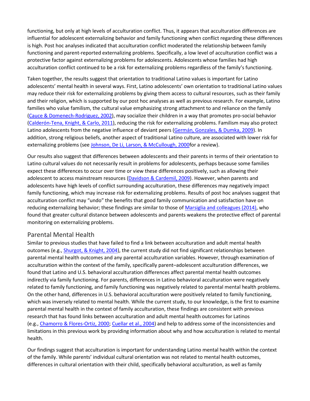functioning, but only at high levels of acculturation conflict. Thus, it appears that acculturation differences are influential for adolescent externalizing behavior and family functioning when conflict regarding these differences is high. Post hoc analyses indicated that acculturation conflict moderated the relationship between family functioning and parent-reported externalizing problems. Specifically, a low level of acculturation conflict was a protective factor against externalizing problems for adolescents. Adolescents whose families had high acculturation conflict continued to be a risk for externalizing problems regardless of the family's functioning.

Taken together, the results suggest that orientation to traditional Latino values is important for Latino adolescents' mental health in several ways. First, Latino adolescents' own orientation to traditional Latino values may reduce their risk for externalizing problems by giving them access to cultural resources, such as their family and their religion, which is supported by our post hoc analyses as well as previous research. For example, Latino families who value familism, the cultural value emphasizing strong attachment to and reliance on the family [\(Cauce & Domenech-Rodriguez, 2002\)](https://0-web-b-ebscohost-com.libus.csd.mu.edu/ehost/detail/detail?vid=2&sid=7e1faa1d-4cf9-4551-a23d-ec6b0f1ec874%40pdc-v-sessmgr04&bdata=JnNpdGU9ZWhvc3QtbGl2ZQ%3d%3d#c16), may socialize their children in a way that promotes pro-social behavior [\(Calderón-Tena, Knight, & Carlo, 2011\)](https://0-web-b-ebscohost-com.libus.csd.mu.edu/ehost/detail/detail?vid=2&sid=7e1faa1d-4cf9-4551-a23d-ec6b0f1ec874%40pdc-v-sessmgr04&bdata=JnNpdGU9ZWhvc3QtbGl2ZQ%3d%3d#c15), reducing the risk for externalizing problems. Familism may also protect Latino adolescents from the negative influence of deviant peers [\(Germán, Gonzales, & Dumka, 2009\)](https://0-web-b-ebscohost-com.libus.csd.mu.edu/ehost/detail/detail?vid=2&sid=7e1faa1d-4cf9-4551-a23d-ec6b0f1ec874%40pdc-v-sessmgr04&bdata=JnNpdGU9ZWhvc3QtbGl2ZQ%3d%3d#c29). In addition, strong religious beliefs, another aspect of traditional Latino culture, are associated with lower risk for externalizing problems (see [Johnson, De Li, Larson, & McCullough, 2000f](https://0-web-b-ebscohost-com.libus.csd.mu.edu/ehost/detail/detail?vid=2&sid=7e1faa1d-4cf9-4551-a23d-ec6b0f1ec874%40pdc-v-sessmgr04&bdata=JnNpdGU9ZWhvc3QtbGl2ZQ%3d%3d#c38)or a review).

Our results also suggest that differences between adolescents and their parents in terms of their orientation to Latino cultural values do not necessarily result in problems for adolescents, perhaps because some families expect these differences to occur over time or view these differences positively, such as allowing their adolescent to access mainstream resources [\(Davidson & Cardemil, 2009\)](https://0-web-b-ebscohost-com.libus.csd.mu.edu/ehost/detail/detail?vid=2&sid=7e1faa1d-4cf9-4551-a23d-ec6b0f1ec874%40pdc-v-sessmgr04&bdata=JnNpdGU9ZWhvc3QtbGl2ZQ%3d%3d#c24). However, when parents and adolescents have high levels of conflict surrounding acculturation, these differences may negatively impact family functioning, which may increase risk for externalizing problems. Results of post hoc analyses suggest that acculturation conflict may "undo" the benefits that good family communication and satisfaction have on reducing externalizing behavior; these findings are similar to those of [Marsiglia and colleagues \(2014\),](https://0-web-b-ebscohost-com.libus.csd.mu.edu/ehost/detail/detail?vid=2&sid=7e1faa1d-4cf9-4551-a23d-ec6b0f1ec874%40pdc-v-sessmgr04&bdata=JnNpdGU9ZWhvc3QtbGl2ZQ%3d%3d#c49) who found that greater cultural distance between adolescents and parents weakens the protective effect of parental monitoring on externalizing problems.

#### Parental Mental Health

Similar to previous studies that have failed to find a link between acculturation and adult mental health outcomes (e.g., **Shurgot, & Knight, 2004**), the current study did not find significant relationships between parental mental health outcomes and any parental acculturation variables. However, through examination of acculturation within the context of the family, specifically parent–adolescent acculturation differences, we found that Latino and U.S. behavioral acculturation differences affect parental mental health outcomes indirectly via family functioning. For parents, differences in Latino behavioral acculturation were negatively related to family functioning, and family functioning was negatively related to parental mental health problems. On the other hand, differences in U.S. behavioral acculturation were positively related to family functioning, which was inversely related to mental health. While the current study, to our knowledge, is the first to examine parental mental health in the context of family acculturation, these findings are consistent with previous research that has found links between acculturation and adult mental health outcomes for Latinos (e.g., [Chamorro & Flores-Ortiz, 2000;](https://0-web-b-ebscohost-com.libus.csd.mu.edu/ehost/detail/detail?vid=2&sid=7e1faa1d-4cf9-4551-a23d-ec6b0f1ec874%40pdc-v-sessmgr04&bdata=JnNpdGU9ZWhvc3QtbGl2ZQ%3d%3d#c19) [Cuellar et al., 2004\)](https://0-web-b-ebscohost-com.libus.csd.mu.edu/ehost/detail/detail?vid=2&sid=7e1faa1d-4cf9-4551-a23d-ec6b0f1ec874%40pdc-v-sessmgr04&bdata=JnNpdGU9ZWhvc3QtbGl2ZQ%3d%3d#c23) and help to address some of the inconsistencies and limitations in this previous work by providing information about why and how acculturation is related to mental health.

Our findings suggest that acculturation is important for understanding Latino mental health within the context of the family. While parents' individual cultural orientation was not related to mental health outcomes, differences in cultural orientation with their child, specifically behavioral acculturation, as well as family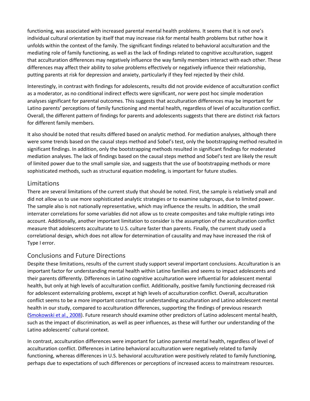functioning, was associated with increased parental mental health problems. It seems that it is not one's individual cultural orientation by itself that may increase risk for mental health problems but rather how it unfolds within the context of the family. The significant findings related to behavioral acculturation and the mediating role of family functioning, as well as the lack of findings related to cognitive acculturation, suggest that acculturation differences may negatively influence the way family members interact with each other. These differences may affect their ability to solve problems effectively or negatively influence their relationship, putting parents at risk for depression and anxiety, particularly if they feel rejected by their child.

Interestingly, in contrast with findings for adolescents, results did not provide evidence of acculturation conflict as a moderator, as no conditional indirect effects were significant, nor were post hoc simple moderation analyses significant for parental outcomes. This suggests that acculturation differences may be important for Latino parents' perceptions of family functioning and mental health, regardless of level of acculturation conflict. Overall, the different pattern of findings for parents and adolescents suggests that there are distinct risk factors for different family members.

It also should be noted that results differed based on analytic method. For mediation analyses, although there were some trends based on the causal steps method and Sobel's test, only the bootstrapping method resulted in significant findings. In addition, only the bootstrapping methods resulted in significant findings for moderated mediation analyses. The lack of findings based on the causal steps method and Sobel's test are likely the result of limited power due to the small sample size, and suggests that the use of bootstrapping methods or more sophisticated methods, such as structural equation modeling, is important for future studies.

#### Limitations

There are several limitations of the current study that should be noted. First, the sample is relatively small and did not allow us to use more sophisticated analytic strategies or to examine subgroups, due to limited power. The sample also is not nationally representative, which may influence the results. In addition, the small interrater correlations for some variables did not allow us to create composites and take multiple ratings into account. Additionally, another important limitation to consider is the assumption of the acculturation conflict measure that adolescents acculturate to U.S. culture faster than parents. Finally, the current study used a correlational design, which does not allow for determination of causality and may have increased the risk of Type I error.

#### Conclusions and Future Directions

Despite these limitations, results of the current study support several important conclusions. Acculturation is an important factor for understanding mental health within Latino families and seems to impact adolescents and their parents differently. Differences in Latino cognitive acculturation were influential for adolescent mental health, but only at high levels of acculturation conflict. Additionally, positive family functioning decreased risk for adolescent externalizing problems, except at high levels of acculturation conflict. Overall, acculturation conflict seems to be a more important construct for understanding acculturation and Latino adolescent mental health in our study, compared to acculturation differences, supporting the findings of previous research [\(Smokowski et al., 2008\)](https://0-web-b-ebscohost-com.libus.csd.mu.edu/ehost/detail/detail?vid=2&sid=7e1faa1d-4cf9-4551-a23d-ec6b0f1ec874%40pdc-v-sessmgr04&bdata=JnNpdGU9ZWhvc3QtbGl2ZQ%3d%3d#c73). Future research should examine other predictors of Latino adolescent mental health, such as the impact of discrimination, as well as peer influences, as these will further our understanding of the Latino adolescents' cultural context.

In contrast, acculturation differences were important for Latino parental mental health, regardless of level of acculturation conflict. Differences in Latino behavioral acculturation were negatively related to family functioning, whereas differences in U.S. behavioral acculturation were positively related to family functioning, perhaps due to expectations of such differences or perceptions of increased access to mainstream resources.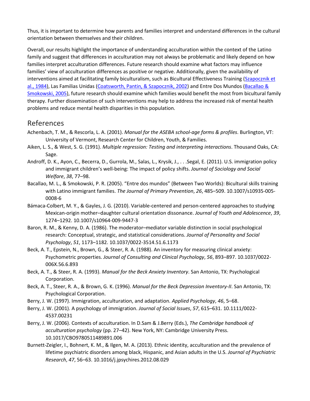Thus, it is important to determine how parents and families interpret and understand differences in the cultural orientation between themselves and their children.

Overall, our results highlight the importance of understanding acculturation within the context of the Latino family and suggest that differences in acculturation may not always be problematic and likely depend on how families interpret acculturation differences. Future research should examine what factors may influence families' view of acculturation differences as positive or negative. Additionally, given the availability of interventions aimed at facilitating family biculturalism, such as Bicultural Effectiveness Training [\(Szapocznik et](https://0-web-b-ebscohost-com.libus.csd.mu.edu/ehost/detail/detail?vid=2&sid=7e1faa1d-4cf9-4551-a23d-ec6b0f1ec874%40pdc-v-sessmgr04&bdata=JnNpdGU9ZWhvc3QtbGl2ZQ%3d%3d#c79)  [al., 1984\)](https://0-web-b-ebscohost-com.libus.csd.mu.edu/ehost/detail/detail?vid=2&sid=7e1faa1d-4cf9-4551-a23d-ec6b0f1ec874%40pdc-v-sessmgr04&bdata=JnNpdGU9ZWhvc3QtbGl2ZQ%3d%3d#c79), Las Familias Unidas [\(Coatsworth, Pantin, & Szapocznik, 2002\)](https://0-web-b-ebscohost-com.libus.csd.mu.edu/ehost/detail/detail?vid=2&sid=7e1faa1d-4cf9-4551-a23d-ec6b0f1ec874%40pdc-v-sessmgr04&bdata=JnNpdGU9ZWhvc3QtbGl2ZQ%3d%3d#c20) and Entre Dos Mundos (Bacallao & [Smokowski, 2005\)](https://0-web-b-ebscohost-com.libus.csd.mu.edu/ehost/detail/detail?vid=2&sid=7e1faa1d-4cf9-4551-a23d-ec6b0f1ec874%40pdc-v-sessmgr04&bdata=JnNpdGU9ZWhvc3QtbGl2ZQ%3d%3d#c4), future research should examine which families would benefit the most from bicultural family therapy. Further dissemination of such interventions may help to address the increased risk of mental health problems and reduce mental health disparities in this population.

# [References](https://0-web-b-ebscohost-com.libus.csd.mu.edu/ehost/detail/detail?vid=2&sid=7e1faa1d-4cf9-4551-a23d-ec6b0f1ec874%40pdc-v-sessmgr04&bdata=JnNpdGU9ZWhvc3QtbGl2ZQ%3d%3d#toc)

- Achenbach, T. M., & Rescorla, L. A. (2001). *Manual for the ASEBA school-age forms & profiles*. Burlington, VT: University of Vermont, Research Center for Children, Youth, & Families.
- Aiken, L. S., & West, S. G. (1991). *Multiple regression: Testing and interpreting interactions*. Thousand Oaks, CA: Sage.
- Androff, D. K., Ayon, C., Becerra, D., Gurrola, M., Salas, L., Krysik, J., . . .Segal, E. (2011). U.S. immigration policy and immigrant children's well-being: The impact of policy shifts. *Journal of Sociology and Social Welfare*, *38*, 77–98.
- Bacallao, M. L., & Smokowski, P. R. (2005). "Entre dos mundos" (Between Two Worlds): Bicultural skills training with Latino immigrant families. *The Journal of Primary Prevention*, *26*, 485–509. 10.1007/s10935-005- 0008-6
- Bámaca-Colbert, M. Y., & Gayles, J. G. (2010). Variable-centered and person-centered approaches to studying Mexican-origin mother–daughter cultural orientation dissonance. *Journal of Youth and Adolescence*, *39*, 1274–1292. 10.1007/s10964-009-9447-3
- Baron, R. M., & Kenny, D. A. (1986). The moderator–mediator variable distinction in social psychological research: Conceptual, strategic, and statistical considerations. *Journal of Personality and Social Psychology*, *51*, 1173–1182. 10.1037/0022-3514.51.6.1173
- Beck, A. T., Epstein, N., Brown, G., & Steer, R. A. (1988). An inventory for measuring clinical anxiety: Psychometric properties. *Journal of Consulting and Clinical Psychology*, *56*, 893–897. 10.1037/0022- 006X.56.6.893
- Beck, A. T., & Steer, R. A. (1993). *Manual for the Beck Anxiety Inventory*. San Antonio, TX: Psychological Corporation.
- Beck, A. T., Steer, R. A., & Brown, G. K. (1996). *Manual for the Beck Depression Inventory-II*. San Antonio, TX: Psychological Corporation.
- Berry, J. W. (1997). Immigration, acculturation, and adaptation. *Applied Psychology*, *46*, 5–68.
- Berry, J. W. (2001). A psychology of immigration. *Journal of Social Issues*, *57*, 615–631. 10.1111/0022- 4537.00231
- Berry, J. W. (2006). Contexts of acculturation. In D.Sam & J.Berry (Eds.), *The Cambridge handbook of acculturation psychology* (pp. 27–42). New York, NY: Cambridge University Press. 10.1017/CBO9780511489891.006
- Burnett-Zeigler, I., Bohnert, K. M., & Ilgen, M. A. (2013). Ethnic identity, acculturation and the prevalence of lifetime psychiatric disorders among black, Hispanic, and Asian adults in the U.S. *Journal of Psychiatric Research*, *47*, 56–63. 10.1016/j.jpsychires.2012.08.029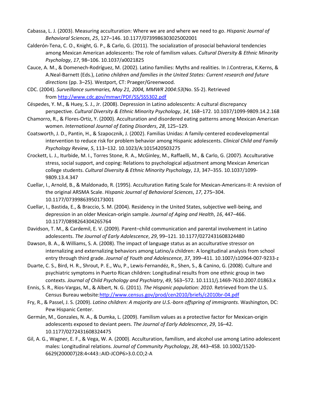- Cabassa, L. J. (2003). Measuring acculturation: Where we are and where we need to go. *Hispanic Journal of Behavioral Sciences*, *25*, 127–146. 10.1177/0739986303025002001
- Calderón-Tena, C. O., Knight, G. P., & Carlo, G. (2011). The socialization of prosocial behavioral tendencies among Mexican American adolescents: The role of familism values. *Cultural Diversity & Ethnic Minority Psychology*, *17*, 98–106. 10.1037/a0021825
- Cauce, A. M., & Domenech-Rodríguez, M. (2002). Latino families: Myths and realities. In J.Contreras, K.Kerns, & A.Neal-Barnett (Eds.), *Latino children and families in the United States: Current research and future directions* (pp. 3–25). Westport, CT: Praeger/Greenwood.
- CDC. (2004). *Surveillance summaries, May 21, 2004, MMWR 2004:53*(No. SS-2). Retrieved from <http://www.cdc.gov/mmwr/PDF/SS/SS5302.pdf>
- Céspedes, Y. M., & Huey, S. J., Jr. (2008). Depression in Latino adolescents: A cultural discrepancy perspective. *Cultural Diversity & Ethnic Minority Psychology*, *14*, 168–172. 10.1037/1099-9809.14.2.168
- Chamorro, R., & Flores-Ortiz, Y. (2000). Acculturation and disordered eating patterns among Mexican American women. *International Journal of Eating Disorders*, *28*, 125–129.
- Coatsworth, J. D., Pantin, H., & Szapocznik, J. (2002). Familias Unidas: A family-centered ecodevelopmental intervention to reduce risk for problem behavior among Hispanic adolescents. *Clinical Child and Family Psychology Review*, *5*, 113–132. 10.1023/A:1015420503275
- Crockett, L. J., Iturbide, M. I., Torres Stone, R. A., McGinley, M., Raffaelli, M., & Carlo, G. (2007). Acculturative stress, social support, and coping: Relations to psychological adjustment among Mexican American college students. *Cultural Diversity & Ethnic Minority Psychology*, *13*, 347–355. 10.1037/1099- 9809.13.4.347
- Cuellar, I., Arnold, B., & Maldonado, R. (1995). Acculturation Rating Scale for Mexican-Americans-II: A revision of the original ARSMA Scale. *Hispanic Journal of Behavioral Sciences*, *17*, 275–304. 10.1177/07399863950173001
- Cuellar, I., Bastida, E., & Braccio, S. M. (2004). Residency in the United States, subjective well-being, and depression in an older Mexican-origin sample. *Journal of Aging and Health*, *16*, 447–466. 10.1177/0898264304265764
- Davidson, T. M., & Cardemil, E. V. (2009). Parent–child communication and parental involvement in Latino adolescents. *The Journal of Early Adolescence*, *29*, 99–121. 10.1177/0272431608324480
- Dawson, B. A., & Williams, S. A. (2008). The impact of language status as an acculturative stressor on internalizing and externalizing behaviors among Latino/a children: A longitudinal analysis from school entry through third grade. *Journal of Youth and Adolescence*, *37*, 399–411. 10.1007/s10964-007-9233-z
- Duarte, C. S., Bird, H. R., Shrout, P. E., Wu, P., Lewis-Fernandéz, R., Shen, S., & Canino, G. (2008). Culture and psychiatric symptoms in Puerto Rican children: Longitudinal results from one ethnic group in two contexts. *Journal of Child Psychology and Psychiatry*, *49*, 563–572. 10.1111/j.1469-7610.2007.01863.x
- Ennis, S. R., Rios-Vargas, M., & Albert, N. G. (2011). *The Hispanic population: 2010*. Retrieved from the U.S. Census Bureau website[:http://www.census.gov/prod/cen2010/briefs/c2010br-04.pdf](http://www.census.gov/prod/cen2010/briefs/c2010br-04.pdf)
- Fry, R., & Passel, J. S. (2009). *Latino children: A majority are U.S.-born offspring of immigrants*. Washington, DC: Pew Hispanic Center.
- Germán, M., Gonzales, N. A., & Dumka, L. (2009). Familism values as a protective factor for Mexican-origin adolescents exposed to deviant peers. *The Journal of Early Adolescence*, *29*, 16–42. 10.1177/0272431608324475
- Gil, A. G., Wagner, E. F., & Vega, W. A. (2000). Acculturation, familism, and alcohol use among Latino adolescent males: Longitudinal relations. *Journal of Community Psychology*, *28*, 443–458. 10.1002/1520- 6629(200007)28:4<443::AID-JCOP6>3.0.CO;2-A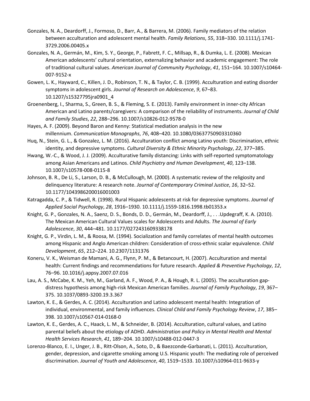- Gonzales, N. A., Deardorff, J., Formoso, D., Barr, A., & Barrera, M. (2006). Family mediators of the relation between acculturation and adolescent mental health. *Family Relations*, *55*, 318–330. 10.1111/j.1741- 3729.2006.00405.x
- Gonzales, N. A., Germán, M., Kim, S. Y., George, P., Fabrett, F. C., Millsap, R., & Dumka, L. E. (2008). Mexican American adolescents' cultural orientation, externalizing behavior and academic engagement: The role of traditional cultural values. *American Journal of Community Psychology*, *41*, 151–164. 10.1007/s10464- 007-9152-x
- Gowen, L. K., Hayward, C., Killen, J. D., Robinson, T. N., & Taylor, C. B. (1999). Acculturation and eating disorder symptoms in adolescent girls. *Journal of Research on Adolescence*, *9*, 67–83. 10.1207/s15327795jra0901\_4
- Groenenberg, I., Sharma, S., Green, B. S., & Fleming, S. E. (2013). Family environment in inner-city African American and Latino parents/caregivers: A comparison of the reliability of instruments. *Journal of Child and Family Studies*, *22*, 288–296. 10.1007/s10826-012-9578-0
- Hayes, A. F. (2009). Beyond Baron and Kenny: Statistical mediation analysis in the new millennium. *Communication Monographs*, *76*, 408–420. 10.1080/03637750903310360
- Huq, N., Stein, G. L., & Gonzalez, L. M. (2016). Acculturation conflict among Latino youth: Discrimination, ethnic identity, and depressive symptoms. *Cultural Diversity & Ethnic Minority Psychology*, *22*, 377–385.
- Hwang, W.-C., & Wood, J. J. (2009). Acculturative family distancing: Links with self-reported symptomatology among Asian Americans and Latinos. *Child Psychiatry and Human Development*, *40*, 123–138. 10.1007/s10578-008-0115-8
- Johnson, B. R., De Li, S., Larson, D. B., & McCullough, M. (2000). A systematic review of the religiosity and delinquency literature: A research note. *Journal of Contemporary Criminal Justice*, *16*, 32–52. 10.1177/1043986200016001003
- Katragadda, C. P., & Tidwell, R. (1998). Rural Hispanic adolescents at risk for depressive symptoms. *Journal of Applied Social Psychology*, *28*, 1916–1930. 10.1111/j.1559-1816.1998.tb01353.x
- Knight, G. P., Gonzales, N. A., Saenz, D. S., Bonds, D. D., Germán, M., Deardorff, J., . . .Updegraff, K. A. (2010). The Mexican American Cultural Values scales for Adolescents and Adults. *The Journal of Early Adolescence*, *30*, 444–481. 10.1177/0272431609338178
- Knight, G. P., Virdin, L. M., & Roosa, M. (1994). Socialization and family correlates of mental health outcomes among Hispanic and Anglo American children: Consideration of cross-ethnic scalar equivalence. *Child Development*, *65*, 212–224. 10.2307/1131376
- Koneru, V. K., Weisman de Mamani, A. G., Flynn, P. M., & Betancourt, H. (2007). Acculturation and mental health: Current findings and recommendations for future research. *Applied & Preventive Psychology*, *12*, 76–96. 10.1016/j.appsy.2007.07.016
- Lau, A. S., McCabe, K. M., Yeh, M., Garland, A. F., Wood, P. A., & Hough, R. L. (2005). The acculturation gapdistress hypothesis among high-risk Mexican American families. *Journal of Family Psychology*, *19*, 367– 375. 10.1037/0893-3200.19.3.367
- Lawton, K. E., & Gerdes, A. C. (2014). Acculturation and Latino adolescent mental health: Integration of individual, environmental, and family influences. *Clinical Child and Family Psychology Review*, *17*, 385– 398. 10.1007/s10567-014-0168-0
- Lawton, K. E., Gerdes, A. C., Haack, L. M., & Schneider, B. (2014). Acculturation, cultural values, and Latino parental beliefs about the etiology of ADHD. *Administration and Policy in Mental Health and Mental Health Services Research*, *41*, 189–204. 10.1007/s10488-012-0447-3
- Lorenzo-Blanco, E. I., Unger, J. B., Ritt-Olson, A., Soto, D., & Baezconde-Garbanati, L. (2011). Acculturation, gender, depression, and cigarette smoking among U.S. Hispanic youth: The mediating role of perceived discrimination. *Journal of Youth and Adolescence*, *40*, 1519–1533. 10.1007/s10964-011-9633-y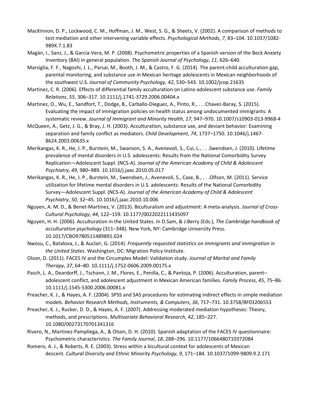- MacKinnon, D. P., Lockwood, C. M., Hoffman, J. M., West, S. G., & Sheets, V. (2002). A comparison of methods to test mediation and other intervening variable effects. *Psychological Methods*, *7*, 83–104. 10.1037/1082- 989X.7.1.83
- Magán, I., Sanz, J., & García-Vera, M. P. (2008). Psychometric properties of a Spanish version of the Beck Anxiety Inventory (BAI) in general population. *The Spanish Journal of Psychology*, *11*, 626–640.
- Marsiglia, F. F., Nagoshi, J. L., Parsai, M., Booth, J. M., & Castro, F. G. (2014). The parent-child acculturation gap, parental monitoring, and substance use in Mexican heritage adolescents in Mexican neighborhoods of the southwest U.S. *Journal of Community Psychology*, *42*, 530–543. 10.1002/jcop.21635
- Martinez, C. R. (2006). Effects of differential family acculturation on Latino adolescent substance use. *Family Relations*, *55*, 306–317. 10.1111/j.1741-3729.2006.00404.x
- Martinez, O., Wu, E., Sandfort, T., Dodge, B., Carballo-Dieguez, A., Pinto, R., . . .Chavez-Baray, S. (2015). Evaluating the impact of immigration policies on health status among undocumented immigrants: A systematic review. *Journal of Immigrant and Minority Health*, *17*, 947–970. 10.1007/s10903-013-9968-4
- McQueen, A., Getz, J. G., & Bray, J. H. (2003). Acculturation, substance use, and deviant behavior: Examining separation and family conflict as mediators. *Child Development*, *74*, 1737–1750. 10.1046/j.1467- 8624.2003.00635.x
- Merikangas, K. R., He, J. P., Burstein, M., Swanson, S. A., Avenevoli, S., Cui, L., . . .Swendsen, J. (2010). Lifetime prevalence of mental disorders in U.S. adolescents: Results from the National Comorbidity Survey Replication—Adolescent Suppl. (NCS-A). *Journal of the American Academy of Child & Adolescent Psychiatry*, *49*, 980–989. 10.1016/j.jaac.2010.05.017
- Merikangas, K. R., He, J. P., Burstein, M., Swendsen, J., Avenevoli, S., Case, B., . . .Olfson, M. (2011). Service utilization for lifetime mental disorders in U.S. adolescents: Results of the National Comorbidity Survey—Adolescent Suppl. (NCS-A). *Journal of the American Academy of Child & Adolescent Psychiatry*, *50*, 32–45. 10.1016/j.jaac.2010.10.006
- Nguyen, A. M. D., & Benet-Martínez, V. (2013). Biculturalism and adjustment: A meta-analysis. *Journal of Cross-Cultural Psychology*, *44*, 122–159. 10.1177/0022022111435097
- Nguyen, H. H. (2006). Acculturation in the United States. In D.Sam, & J.Berry (Eds.), *The Cambridge handbook of acculturation psychology* (311–348). New York, NY: Cambridge University Press. 10.1017/CBO9780511489891.024
- Nwosu, C., Batalova, J., & Auclair, G. (2014). *Frequently requested statistics on immigrants and immigration in the United States*. Washington, DC: Migration Policy Institute.
- Olson, D. (2011). FACES IV and the Circumplex Model: Validation study. *Journal of Marital and Family Therapy*, *37*, 64–80. 10.1111/j.1752-0606.2009.00175.x
- Pasch, L. A., Deardorff, J., Tschann, J. M., Flores, E., Penilla, C., & Pantoja, P. (2006). Acculturation, parent– adolescent conflict, and adolescent adjustment in Mexican American families. *Family Process*, *45*, 75–86. 10.1111/j.1545-5300.2006.00081.x
- Preacher, K. J., & Hayes, A. F. (2004). SPSS and SAS procedures for estimating indirect effects in simple mediation models. *Behavior Research Methods, Instruments, & Computers*, *36*, 717–731. 10.3758/BF03206553
- Preacher, K. J., Rucker, D. D., & Hayes, A. F. (2007). Addressing moderated mediation hypotheses: Theory, methods, and prescriptions. *Multivariate Behavioral Research*, *42*, 185–227. 10.1080/00273170701341316
- Rivero, N., Martinez-Pampliega, A., & Olson, D. H. (2010). Spanish adaptation of the FACES IV questionnaire: Psychometric characteristics. *The Family Journal*, *18*, 288–296. 10.1177/1066480710372084
- Romero, A. J., & Roberts, R. E. (2003). Stress within a bicultural context for adolescents of Mexican descent. *Cultural Diversity and Ethnic Minority Psychology*, *9*, 171–184. 10.1037/1099-9809.9.2.171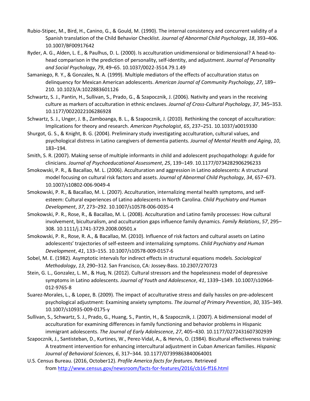- Rubio-Stipec, M., Bird, H., Canino, G., & Gould, M. (1990). The internal consistency and concurrent validity of a Spanish translation of the Child Behavior Checklist. *Journal of Abnormal Child Psychology*, *18*, 393–406. 10.1007/BF00917642
- Ryder, A. G., Alden, L. E., & Paulhus, D. L. (2000). Is acculturation unidimensional or bidimensional? A head-tohead comparison in the prediction of personality, self-identity, and adjustment. *Journal of Personality and Social Psychology*, *79*, 49–65. 10.1037/0022-3514.79.1.49
- Samaniego, R. Y., & Gonzales, N. A. (1999). Multiple mediators of the effects of acculturation status on delinquency for Mexican American adolescents. *American Journal of Community Psychology*, *27*, 189– 210. 10.1023/A:1022883601126
- Schwartz, S. J., Pantin, H., Sullivan, S., Prado, G., & Szapocznik, J. (2006). Nativity and years in the receiving culture as markers of acculturation in ethnic enclaves. *Journal of Cross-Cultural Psychology*, *37*, 345–353. 10.1177/0022022106286928
- Schwartz, S. J., Unger, J. B., Zamboanga, B. L., & Szapocznik, J. (2010). Rethinking the concept of acculturation: Implications for theory and research. *American Psychologist*, *65*, 237–251. 10.1037/a0019330
- Shurgot, G. S., & Knight, B. G. (2004). Preliminary study investigating acculturation, cultural values, and psychological distress in Latino caregivers of dementia patients. *Journal of Mental Health and Aging*, *10*, 183–194.
- Smith, S. R. (2007). Making sense of multiple informants in child and adolescent psychopathology: A guide for clinicians. *Journal of Psychoeducational Assessment*, *25*, 139–149. 10.1177/0734282906296233
- Smokowski, P. R., & Bacallao, M. L. (2006). Acculturation and aggression in Latino adolescents: A structural model focusing on cultural risk factors and assets. *Journal of Abnormal Child Psychology*, *34*, 657–673. 10.1007/s10802-006-9049-4
- Smokowski, P. R., & Bacallao, M. L. (2007). Acculturation, internalizing mental health symptoms, and selfesteem: Cultural experiences of Latino adolescents in North Carolina. *Child Psychiatry and Human Development*, *37*, 273–292. 10.1007/s10578-006-0035-4
- Smokowski, P. R., Rose, R., & Bacallao, M. L. (2008). Acculturation and Latino family processes: How cultural involvement, biculturalism, and acculturation gaps influence family dynamics. *Family Relations*, *57*, 295– 308. 10.1111/j.1741-3729.2008.00501.x
- Smokowski, P. R., Rose, R. A., & Bacallao, M. (2010). Influence of risk factors and cultural assets on Latino adolescents' trajectories of self-esteem and internalizing symptoms. *Child Psychiatry and Human Development*, *41*, 133–155. 10.1007/s10578-009-0157-6
- Sobel, M. E. (1982). Asymptotic intervals for indirect effects in structural equations models. *Sociological Methodology*, *13*, 290–312. San Francisco, CA: Jossey-Bass. 10.2307/270723
- Stein, G. L., Gonzalez, L. M., & Huq, N. (2012). Cultural stressors and the hopelessness model of depressive symptoms in Latino adolescents. *Journal of Youth and Adolescence*, *41*, 1339–1349. 10.1007/s10964- 012-9765-8
- Suarez-Morales, L., & Lopez, B. (2009). The impact of acculturative stress and daily hassles on pre-adolescent psychological adjustment: Examining anxiety symptoms. *The Journal of Primary Prevention*, *30*, 335–349. 10.1007/s10935-009-0175-y
- Sullivan, S., Schwartz, S. J., Prado, G., Huang, S., Pantin, H., & Szapocznik, J. (2007). A bidimensional model of acculturation for examining differences in family functioning and behavior problems in Hispanic immigrant adolescents. *The Journal of Early Adolescence*, *27*, 405–430. 10.1177/0272431607302939
- Szapocznik, J., Santisteban, D., Kurtines, W., Perez-Vidal, A., & Hervis, O. (1984). Bicultural effectiveness training: A treatment intervention for enhancing intercultural adjustment in Cuban American families. *Hispanic Journal of Behavioral Sciences*, *6*, 317–344. 10.1177/07399863840064001
- U.S. Census Bureau. (2016, October12). *Profile America facts for features*. Retrieved from <http://www.census.gov/newsroom/facts-for-features/2016/cb16-ff16.html>